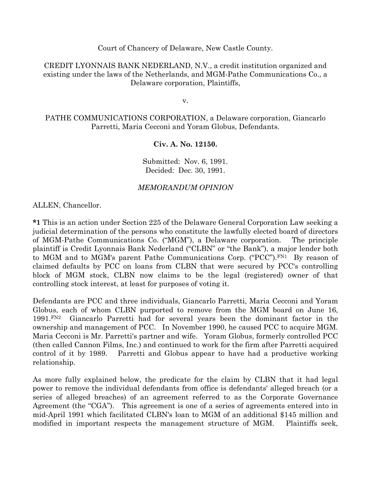Court of Chancery of Delaware, New Castle County.

CREDIT LYONNAIS BANK NEDERLAND, N.V., a credit institution organized and existing under the laws of the Netherlands, and MGM-Pathe Communications Co., a Delaware corporation, Plaintiffs,

v.

PATHE COMMUNICATIONS CORPORATION, a Delaware corporation, Giancarlo Parretti, Maria Cecconi and Yoram Globus, Defendants.

### Civ. A. No. 12150.

Submitted: Nov. 6, 1991. Decided: Dec. 30, 1991.

### MEMORANDUM OPINION

ALLEN, Chancellor.

\*1 This is an action under Section 225 of the Delaware General Corporation Law seeking a judicial determination of the persons who constitute the lawfully elected board of directors of MGM-Pathe Communications Co. ("MGM"), a Delaware corporation. The principle plaintiff is Credit Lyonnais Bank Nederland ("CLBN" or "the Bank"), a major lender both to MGM and to MGM's parent Pathe Communications Corp. ("PCC").FN1 By reason of claimed defaults by PCC on loans from CLBN that were secured by PCC's controlling block of MGM stock, CLBN now claims to be the legal (registered) owner of that controlling stock interest, at least for purposes of voting it.

Defendants are PCC and three individuals, Giancarlo Parretti, Maria Cecconi and Yoram Globus, each of whom CLBN purported to remove from the MGM board on June 16, 1991.FN2 Giancarlo Parretti had for several years been the dominant factor in the ownership and management of PCC. In November 1990, he caused PCC to acquire MGM. Maria Cecconi is Mr. Parretti's partner and wife. Yoram Globus, formerly controlled PCC (then called Cannon Films, Inc.) and continued to work for the firm after Parretti acquired control of it by 1989. Parretti and Globus appear to have had a productive working relationship.

As more fully explained below, the predicate for the claim by CLBN that it had legal power to remove the individual defendants from office is defendants' alleged breach (or a series of alleged breaches) of an agreement referred to as the Corporate Governance Agreement (the "CGA"). This agreement is one of a series of agreements entered into in mid-April 1991 which facilitated CLBN's loan to MGM of an additional \$145 million and modified in important respects the management structure of MGM. Plaintiffs seek,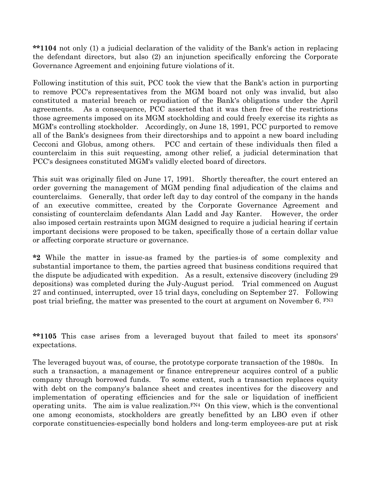\*\*1104 not only (1) a judicial declaration of the validity of the Bank's action in replacing the defendant directors, but also (2) an injunction specifically enforcing the Corporate Governance Agreement and enjoining future violations of it.

Following institution of this suit, PCC took the view that the Bank's action in purporting to remove PCC's representatives from the MGM board not only was invalid, but also constituted a material breach or repudiation of the Bank's obligations under the April agreements. As a consequence, PCC asserted that it was then free of the restrictions those agreements imposed on its MGM stockholding and could freely exercise its rights as MGM's controlling stockholder. Accordingly, on June 18, 1991, PCC purported to remove all of the Bank's designees from their directorships and to appoint a new board including Cecconi and Globus, among others. PCC and certain of these individuals then filed a counterclaim in this suit requesting, among other relief, a judicial determination that PCC's designees constituted MGM's validly elected board of directors.

This suit was originally filed on June 17, 1991. Shortly thereafter, the court entered an order governing the management of MGM pending final adjudication of the claims and counterclaims. Generally, that order left day to day control of the company in the hands of an executive committee, created by the Corporate Governance Agreement and consisting of counterclaim defendants Alan Ladd and Jay Kanter. However, the order also imposed certain restraints upon MGM designed to require a judicial hearing if certain important decisions were proposed to be taken, specifically those of a certain dollar value or affecting corporate structure or governance.

\*2 While the matter in issue-as framed by the parties-is of some complexity and substantial importance to them, the parties agreed that business conditions required that the dispute be adjudicated with expedition. As a result, extensive discovery (including 29 depositions) was completed during the July-August period. Trial commenced on August 27 and continued, interrupted, over 15 trial days, concluding on September 27. Following post trial briefing, the matter was presented to the court at argument on November 6. FN3

\*\*1105 This case arises from a leveraged buyout that failed to meet its sponsors' expectations.

The leveraged buyout was, of course, the prototype corporate transaction of the 1980s. In such a transaction, a management or finance entrepreneur acquires control of a public company through borrowed funds. To some extent, such a transaction replaces equity with debt on the company's balance sheet and creates incentives for the discovery and implementation of operating efficiencies and for the sale or liquidation of inefficient operating units. The aim is value realization. $F^{N4}$  On this view, which is the conventional one among economists, stockholders are greatly benefitted by an LBO even if other corporate constituencies-especially bond holders and long-term employees-are put at risk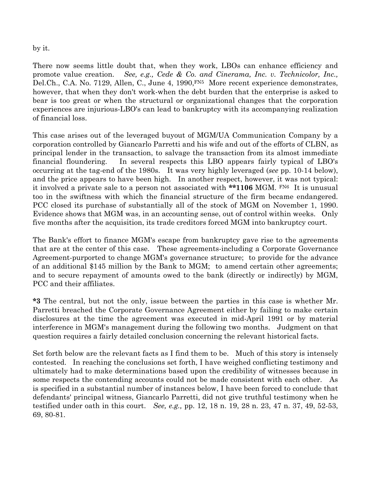#### by it.

There now seems little doubt that, when they work, LBOs can enhance efficiency and promote value creation. See, e.g., Cede & Co. and Cinerama, Inc. v. Technicolor, Inc., Del.Ch., C.A. No. 7129, Allen, C., June 4, 1990, FN<sub>5</sub> More recent experience demonstrates, however, that when they don't work-when the debt burden that the enterprise is asked to bear is too great or when the structural or organizational changes that the corporation experiences are injurious-LBO's can lead to bankruptcy with its accompanying realization of financial loss.

This case arises out of the leveraged buyout of MGM/UA Communication Company by a corporation controlled by Giancarlo Parretti and his wife and out of the efforts of CLBN, as principal lender in the transaction, to salvage the transaction from its almost immediate financial floundering. In several respects this LBO appears fairly typical of LBO's occurring at the tag-end of the 1980s. It was very highly leveraged (see pp. 10-14 below), and the price appears to have been high. In another respect, however, it was not typical: it involved a private sale to a person not associated with \*\*1106 MGM.  $F<sup>NG</sup>$  It is unusual too in the swiftness with which the financial structure of the firm became endangered. PCC closed its purchase of substantially all of the stock of MGM on November 1, 1990. Evidence shows that MGM was, in an accounting sense, out of control within weeks. Only five months after the acquisition, its trade creditors forced MGM into bankruptcy court.

The Bank's effort to finance MGM's escape from bankruptcy gave rise to the agreements that are at the center of this case. These agreements-including a Corporate Governance Agreement-purported to change MGM's governance structure; to provide for the advance of an additional \$145 million by the Bank to MGM; to amend certain other agreements; and to secure repayment of amounts owed to the bank (directly or indirectly) by MGM, PCC and their affiliates.

\*3 The central, but not the only, issue between the parties in this case is whether Mr. Parretti breached the Corporate Governance Agreement either by failing to make certain disclosures at the time the agreement was executed in mid-April 1991 or by material interference in MGM's management during the following two months. Judgment on that question requires a fairly detailed conclusion concerning the relevant historical facts.

Set forth below are the relevant facts as I find them to be. Much of this story is intensely contested. In reaching the conclusions set forth, I have weighed conflicting testimony and ultimately had to make determinations based upon the credibility of witnesses because in some respects the contending accounts could not be made consistent with each other. As is specified in a substantial number of instances below, I have been forced to conclude that defendants' principal witness, Giancarlo Parretti, did not give truthful testimony when he testified under oath in this court. See, e.g., pp. 12, 18 n. 19, 28 n. 23, 47 n. 37, 49, 52-53, 69, 80-81.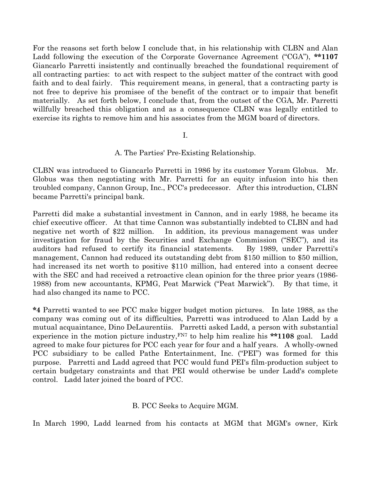For the reasons set forth below I conclude that, in his relationship with CLBN and Alan Ladd following the execution of the Corporate Governance Agreement ("CGA"), \*\*1107 Giancarlo Parretti insistently and continually breached the foundational requirement of all contracting parties: to act with respect to the subject matter of the contract with good faith and to deal fairly. This requirement means, in general, that a contracting party is not free to deprive his promisee of the benefit of the contract or to impair that benefit materially. As set forth below, I conclude that, from the outset of the CGA, Mr. Parretti willfully breached this obligation and as a consequence CLBN was legally entitled to exercise its rights to remove him and his associates from the MGM board of directors.

#### I.

#### A. The Parties' Pre-Existing Relationship.

CLBN was introduced to Giancarlo Parretti in 1986 by its customer Yoram Globus. Mr. Globus was then negotiating with Mr. Parretti for an equity infusion into his then troubled company, Cannon Group, Inc., PCC's predecessor. After this introduction, CLBN became Parretti's principal bank.

Parretti did make a substantial investment in Cannon, and in early 1988, he became its chief executive officer. At that time Cannon was substantially indebted to CLBN and had negative net worth of \$22 million. In addition, its previous management was under investigation for fraud by the Securities and Exchange Commission ("SEC"), and its auditors had refused to certify its financial statements. By 1989, under Parretti's management, Cannon had reduced its outstanding debt from \$150 million to \$50 million, had increased its net worth to positive \$110 million, had entered into a consent decree with the SEC and had received a retroactive clean opinion for the three prior years (1986- 1988) from new accountants, KPMG, Peat Marwick ("Peat Marwick"). By that time, it had also changed its name to PCC.

\*4 Parretti wanted to see PCC make bigger budget motion pictures. In late 1988, as the company was coming out of its difficulties, Parretti was introduced to Alan Ladd by a mutual acquaintance, Dino DeLaurentiis. Parretti asked Ladd, a person with substantial experience in the motion picture industry, $F<sup>N7</sup>$  to help him realize his \*\*1108 goal. Ladd agreed to make four pictures for PCC each year for four and a half years. A wholly-owned PCC subsidiary to be called Pathe Entertainment, Inc. ("PEI") was formed for this purpose. Parretti and Ladd agreed that PCC would fund PEI's film-production subject to certain budgetary constraints and that PEI would otherwise be under Ladd's complete control. Ladd later joined the board of PCC.

#### B. PCC Seeks to Acquire MGM.

In March 1990, Ladd learned from his contacts at MGM that MGM's owner, Kirk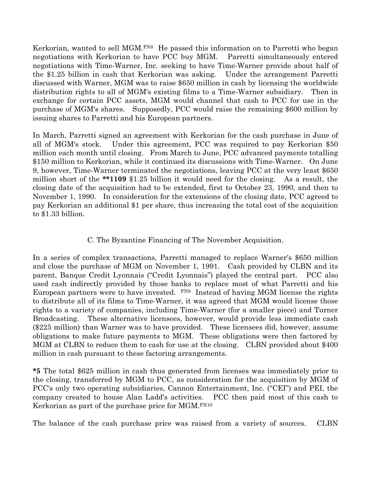Kerkorian, wanted to sell MGM.<sup>FN8</sup> He passed this information on to Parretti who began negotiations with Kerkorian to have PCC buy MGM. Parretti simultaneously entered negotiations with Time-Warner, Inc. seeking to have Time-Warner provide about half of the \$1.25 billion in cash that Kerkorian was asking. Under the arrangement Parretti discussed with Warner, MGM was to raise \$650 million in cash by licensing the worldwide distribution rights to all of MGM's existing films to a Time-Warner subsidiary. Then in exchange for certain PCC assets, MGM would channel that cash to PCC for use in the purchase of MGM's shares. Supposedly, PCC would raise the remaining \$600 million by issuing shares to Parretti and his European partners.

In March, Parretti signed an agreement with Kerkorian for the cash purchase in June of all of MGM's stock. Under this agreement, PCC was required to pay Kerkorian \$50 million each month until closing. From March to June, PCC advanced payments totalling \$150 million to Kerkorian, while it continued its discussions with Time-Warner. On June 9, however, Time-Warner terminated the negotiations, leaving PCC at the very least \$650 million short of the \*\*1109 \$1.25 billion it would need for the closing. As a result, the closing date of the acquisition had to be extended, first to October 23, 1990, and then to November 1, 1990. In consideration for the extensions of the closing date, PCC agreed to pay Kerkorian an additional \$1 per share, thus increasing the total cost of the acquisition to \$1.33 billion.

# C. The Byzantine Financing of The November Acquisition.

In a series of complex transactions, Parretti managed to replace Warner's \$650 million and close the purchase of MGM on November 1, 1991. Cash provided by CLBN and its parent, Banque Credit Lyonnais ("Credit Lyonnais") played the central part. PCC also used cash indirectly provided by those banks to replace most of what Parretti and his European partners were to have invested. FN9 Instead of having MGM license the rights to distribute all of its films to Time-Warner, it was agreed that MGM would license those rights to a variety of companies, including Time-Warner (for a smaller piece) and Turner Broadcasting. These alternative licensees, however, would provide less immediate cash (\$225 million) than Warner was to have provided. These licensees did, however, assume obligations to make future payments to MGM. These obligations were then factored by MGM at CLBN to reduce them to cash for use at the closing. CLBN provided about \$400 million in cash pursuant to these factoring arrangements.

\*5 The total \$625 million in cash thus generated from licenses was immediately prior to the closing, transferred by MGM to PCC, as consideration for the acquisition by MGM of PCC's only two operating subsidiaries, Cannon Entertainment, Inc. ("CEI") and PEI, the company created to house Alan Ladd's activities. PCC then paid most of this cash to Kerkorian as part of the purchase price for MGM.FN10

The balance of the cash purchase price was raised from a variety of sources. CLBN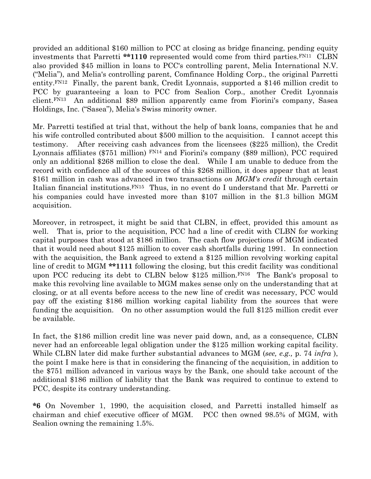provided an additional \$160 million to PCC at closing as bridge financing, pending equity investments that Parretti \*\*1110 represented would come from third parties.FN11 CLBN also provided \$45 million in loans to PCC's controlling parent, Melia International N.V. ("Melia"), and Melia's controlling parent, Comfinance Holding Corp., the original Parretti entity.FN12 Finally, the parent bank, Credit Lyonnais, supported a \$146 million credit to PCC by guaranteeing a loan to PCC from Sealion Corp., another Credit Lyonnais client.FN13 An additional \$89 million apparently came from Fiorini's company, Sasea Holdings, Inc. ("Sasea"), Melia's Swiss minority owner.

Mr. Parretti testified at trial that, without the help of bank loans, companies that he and his wife controlled contributed about \$500 million to the acquisition. I cannot accept this testimony. After receiving cash advances from the licensees (\$225 million), the Credit Lyonnais affiliates (\$751 million)  $\frac{FN14}{FN14}$  and Fiorini's company (\$89 million), PCC required only an additional \$268 million to close the deal. While I am unable to deduce from the record with confidence all of the sources of this \$268 million, it does appear that at least \$161 million in cash was advanced in two transactions on MGM's credit through certain Italian financial institutions.FN15 Thus, in no event do I understand that Mr. Parretti or his companies could have invested more than \$107 million in the \$1.3 billion MGM acquisition.

Moreover, in retrospect, it might be said that CLBN, in effect, provided this amount as well. That is, prior to the acquisition, PCC had a line of credit with CLBN for working capital purposes that stood at \$186 million. The cash flow projections of MGM indicated that it would need about \$125 million to cover cash shortfalls during 1991. In connection with the acquisition, the Bank agreed to extend a \$125 million revolving working capital line of credit to MGM \*\*1111 following the closing, but this credit facility was conditional upon PCC reducing its debt to CLBN below \$125 million.FN16 The Bank's proposal to make this revolving line available to MGM makes sense only on the understanding that at closing, or at all events before access to the new line of credit was necessary, PCC would pay off the existing \$186 million working capital liability from the sources that were funding the acquisition. On no other assumption would the full \$125 million credit ever be available.

In fact, the \$186 million credit line was never paid down, and, as a consequence, CLBN never had an enforceable legal obligation under the \$125 million working capital facility. While CLBN later did make further substantial advances to MGM (see, e.g., p. 74 infra), the point I make here is that in considering the financing of the acquisition, in addition to the \$751 million advanced in various ways by the Bank, one should take account of the additional \$186 million of liability that the Bank was required to continue to extend to PCC, despite its contrary understanding.

\*6 On November 1, 1990, the acquisition closed, and Parretti installed himself as chairman and chief executive officer of MGM. PCC then owned 98.5% of MGM, with Sealion owning the remaining 1.5%.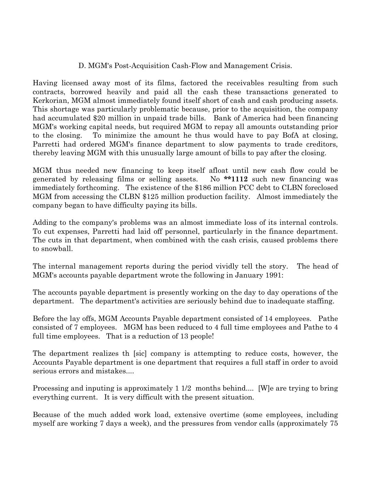## D. MGM's Post-Acquisition Cash-Flow and Management Crisis.

Having licensed away most of its films, factored the receivables resulting from such contracts, borrowed heavily and paid all the cash these transactions generated to Kerkorian, MGM almost immediately found itself short of cash and cash producing assets. This shortage was particularly problematic because, prior to the acquisition, the company had accumulated \$20 million in unpaid trade bills. Bank of America had been financing MGM's working capital needs, but required MGM to repay all amounts outstanding prior to the closing. To minimize the amount he thus would have to pay BofA at closing, Parretti had ordered MGM's finance department to slow payments to trade creditors, thereby leaving MGM with this unusually large amount of bills to pay after the closing.

MGM thus needed new financing to keep itself afloat until new cash flow could be generated by releasing films or selling assets. No \*\*1112 such new financing was immediately forthcoming. The existence of the \$186 million PCC debt to CLBN foreclosed MGM from accessing the CLBN \$125 million production facility. Almost immediately the company began to have difficulty paying its bills.

Adding to the company's problems was an almost immediate loss of its internal controls. To cut expenses, Parretti had laid off personnel, particularly in the finance department. The cuts in that department, when combined with the cash crisis, caused problems there to snowball.

The internal management reports during the period vividly tell the story. The head of MGM's accounts payable department wrote the following in January 1991:

The accounts payable department is presently working on the day to day operations of the department. The department's activities are seriously behind due to inadequate staffing.

Before the lay offs, MGM Accounts Payable department consisted of 14 employees. Pathe consisted of 7 employees. MGM has been reduced to 4 full time employees and Pathe to 4 full time employees. That is a reduction of 13 people!

The department realizes th [sic] company is attempting to reduce costs, however, the Accounts Payable department is one department that requires a full staff in order to avoid serious errors and mistakes....

Processing and inputing is approximately 1 1/2 months behind.... [W] e are trying to bring everything current. It is very difficult with the present situation.

Because of the much added work load, extensive overtime (some employees, including myself are working 7 days a week), and the pressures from vendor calls (approximately 75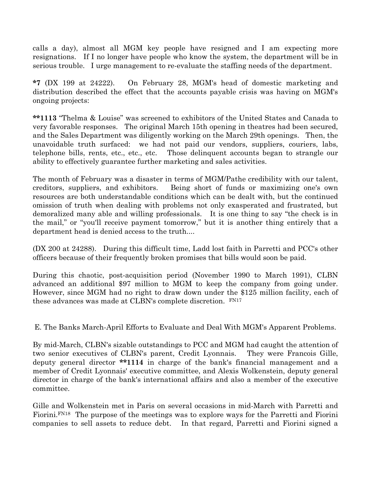calls a day), almost all MGM key people have resigned and I am expecting more resignations. If I no longer have people who know the system, the department will be in serious trouble. I urge management to re-evaluate the staffing needs of the department.

\*7 (DX 199 at 24222). On February 28, MGM's head of domestic marketing and distribution described the effect that the accounts payable crisis was having on MGM's ongoing projects:

\*\*1113 "Thelma & Louise" was screened to exhibitors of the United States and Canada to very favorable responses. The original March 15th opening in theatres had been secured, and the Sales Department was diligently working on the March 29th openings. Then, the unavoidable truth surfaced: we had not paid our vendors, suppliers, couriers, labs, telephone bills, rents, etc., etc., etc. Those delinquent accounts began to strangle our ability to effectively guarantee further marketing and sales activities.

The month of February was a disaster in terms of MGM/Pathe credibility with our talent, creditors, suppliers, and exhibitors. Being short of funds or maximizing one's own resources are both understandable conditions which can be dealt with, but the continued omission of truth when dealing with problems not only exasperated and frustrated, but demoralized many able and willing professionals. It is one thing to say "the check is in the mail," or "you'll receive payment tomorrow," but it is another thing entirely that a department head is denied access to the truth....

(DX 200 at 24288). During this difficult time, Ladd lost faith in Parretti and PCC's other officers because of their frequently broken promises that bills would soon be paid.

During this chaotic, post-acquisition period (November 1990 to March 1991), CLBN advanced an additional \$97 million to MGM to keep the company from going under. However, since MGM had no right to draw down under the \$125 million facility, each of these advances was made at CLBN's complete discretion. FN17

E. The Banks March-April Efforts to Evaluate and Deal With MGM's Apparent Problems.

By mid-March, CLBN's sizable outstandings to PCC and MGM had caught the attention of two senior executives of CLBN's parent, Credit Lyonnais. They were Francois Gille, deputy general director \*\*1114 in charge of the bank's financial management and a member of Credit Lyonnais' executive committee, and Alexis Wolkenstein, deputy general director in charge of the bank's international affairs and also a member of the executive committee.

Gille and Wolkenstein met in Paris on several occasions in mid-March with Parretti and Fiorini.FN18 The purpose of the meetings was to explore ways for the Parretti and Fiorini companies to sell assets to reduce debt. In that regard, Parretti and Fiorini signed a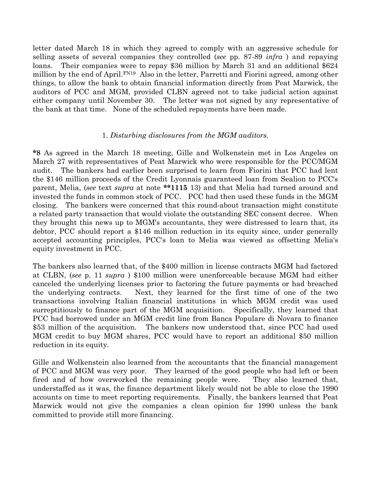letter dated March 18 in which they agreed to comply with an aggressive schedule for selling assets of several companies they controlled (see pp. 87-89 *infra*) and repaying loans. Their companies were to repay \$36 million by March 31 and an additional \$624 million by the end of April.FN19 Also in the letter, Parretti and Fiorini agreed, among other things, to allow the bank to obtain financial information directly from Peat Marwick, the auditors of PCC and MGM, provided CLBN agreed not to take judicial action against either company until November 30. The letter was not signed by any representative of the bank at that time. None of the scheduled repayments have been made.

#### 1. Disturbing disclosures from the MGM auditors.

\*8 As agreed in the March 18 meeting, Gille and Wolkenstein met in Los Angeles on March 27 with representatives of Peat Marwick who were responsible for the PCC/MGM audit. The bankers had earlier been surprised to learn from Fiorini that PCC had lent the \$146 million proceeds of the Credit Lyonnais guaranteed loan from Sealion to PCC's parent, Melia, (see text supra at note \*\*1115 13) and that Melia had turned around and invested the funds in common stock of PCC. PCC had then used these funds in the MGM closing. The bankers were concerned that this round-about transaction might constitute a related party transaction that would violate the outstanding SEC consent decree. When they brought this news up to MGM's accountants, they were distressed to learn that, its debtor, PCC should report a \$146 million reduction in its equity since, under generally accepted accounting principles, PCC's loan to Melia was viewed as offsetting Melia's equity investment in PCC.

The bankers also learned that, of the \$400 million in license contracts MGM had factored at CLBN, (see p. 11 supra ) \$100 million were unenforceable because MGM had either canceled the underlying licenses prior to factoring the future payments or had breached the underlying contracts. Next, they learned for the first time of one of the two transactions involving Italian financial institutions in which MGM credit was used surreptitiously to finance part of the MGM acquisition. Specifically, they learned that PCC had borrowed under an MGM credit line from Banca Populare di Novara to finance \$53 million of the acquisition. The bankers now understood that, since PCC had used MGM credit to buy MGM shares, PCC would have to report an additional \$50 million reduction in its equity.

Gille and Wolkenstein also learned from the accountants that the financial management of PCC and MGM was very poor. They learned of the good people who had left or been fired and of how overworked the remaining people were. They also learned that, understaffed as it was, the finance department likely would not be able to close the 1990 accounts on time to meet reporting requirements. Finally, the bankers learned that Peat Marwick would not give the companies a clean opinion for 1990 unless the bank committed to provide still more financing.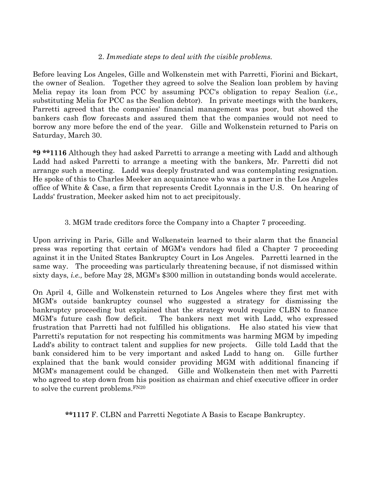#### 2. Immediate steps to deal with the visible problems.

Before leaving Los Angeles, Gille and Wolkenstein met with Parretti, Fiorini and Bickart, the owner of Sealion. Together they agreed to solve the Sealion loan problem by having Melia repay its loan from PCC by assuming PCC's obligation to repay Sealion (i.e., substituting Melia for PCC as the Sealion debtor). In private meetings with the bankers, Parretti agreed that the companies' financial management was poor, but showed the bankers cash flow forecasts and assured them that the companies would not need to borrow any more before the end of the year. Gille and Wolkenstein returned to Paris on Saturday, March 30.

\*9 \*\*1116 Although they had asked Parretti to arrange a meeting with Ladd and although Ladd had asked Parretti to arrange a meeting with the bankers, Mr. Parretti did not arrange such a meeting. Ladd was deeply frustrated and was contemplating resignation. He spoke of this to Charles Meeker an acquaintance who was a partner in the Los Angeles office of White & Case, a firm that represents Credit Lyonnais in the U.S. On hearing of Ladds' frustration, Meeker asked him not to act precipitously.

### 3. MGM trade creditors force the Company into a Chapter 7 proceeding.

Upon arriving in Paris, Gille and Wolkenstein learned to their alarm that the financial press was reporting that certain of MGM's vendors had filed a Chapter 7 proceeding against it in the United States Bankruptcy Court in Los Angeles. Parretti learned in the same way. The proceeding was particularly threatening because, if not dismissed within sixty days, i.e., before May 28, MGM's \$300 million in outstanding bonds would accelerate.

On April 4, Gille and Wolkenstein returned to Los Angeles where they first met with MGM's outside bankruptcy counsel who suggested a strategy for dismissing the bankruptcy proceeding but explained that the strategy would require CLBN to finance MGM's future cash flow deficit. The bankers next met with Ladd, who expressed frustration that Parretti had not fulfilled his obligations. He also stated his view that Parretti's reputation for not respecting his commitments was harming MGM by impeding Ladd's ability to contract talent and supplies for new projects. Gille told Ladd that the bank considered him to be very important and asked Ladd to hang on. Gille further explained that the bank would consider providing MGM with additional financing if MGM's management could be changed. Gille and Wolkenstein then met with Parretti who agreed to step down from his position as chairman and chief executive officer in order to solve the current problems.FN20

\*\*1117 F. CLBN and Parretti Negotiate A Basis to Escape Bankruptcy.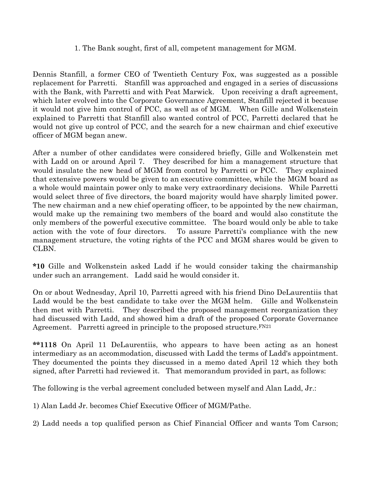#### 1. The Bank sought, first of all, competent management for MGM.

Dennis Stanfill, a former CEO of Twentieth Century Fox, was suggested as a possible replacement for Parretti. Stanfill was approached and engaged in a series of discussions with the Bank, with Parretti and with Peat Marwick. Upon receiving a draft agreement, which later evolved into the Corporate Governance Agreement, Stanfill rejected it because it would not give him control of PCC, as well as of MGM. When Gille and Wolkenstein explained to Parretti that Stanfill also wanted control of PCC, Parretti declared that he would not give up control of PCC, and the search for a new chairman and chief executive officer of MGM began anew.

After a number of other candidates were considered briefly, Gille and Wolkenstein met with Ladd on or around April 7. They described for him a management structure that would insulate the new head of MGM from control by Parretti or PCC. They explained that extensive powers would be given to an executive committee, while the MGM board as a whole would maintain power only to make very extraordinary decisions. While Parretti would select three of five directors, the board majority would have sharply limited power. The new chairman and a new chief operating officer, to be appointed by the new chairman, would make up the remaining two members of the board and would also constitute the only members of the powerful executive committee. The board would only be able to take action with the vote of four directors. To assure Parretti's compliance with the new management structure, the voting rights of the PCC and MGM shares would be given to CLBN.

\*10 Gille and Wolkenstein asked Ladd if he would consider taking the chairmanship under such an arrangement. Ladd said he would consider it.

On or about Wednesday, April 10, Parretti agreed with his friend Dino DeLaurentiis that Ladd would be the best candidate to take over the MGM helm. Gille and Wolkenstein then met with Parretti. They described the proposed management reorganization they had discussed with Ladd, and showed him a draft of the proposed Corporate Governance Agreement. Parretti agreed in principle to the proposed structure. $F^{N21}$ 

\*\*1118 On April 11 DeLaurentiis, who appears to have been acting as an honest intermediary as an accommodation, discussed with Ladd the terms of Ladd's appointment. They documented the points they discussed in a memo dated April 12 which they both signed, after Parretti had reviewed it. That memorandum provided in part, as follows:

The following is the verbal agreement concluded between myself and Alan Ladd, Jr.:

1) Alan Ladd Jr. becomes Chief Executive Officer of MGM/Pathe.

2) Ladd needs a top qualified person as Chief Financial Officer and wants Tom Carson;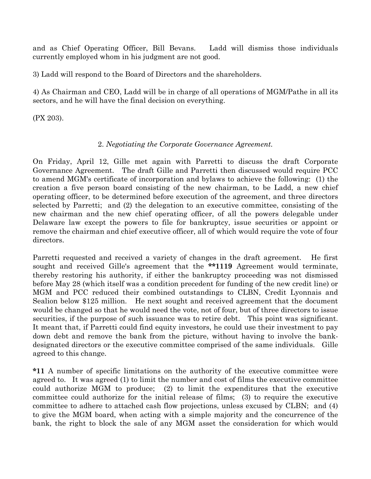and as Chief Operating Officer, Bill Bevans. Ladd will dismiss those individuals currently employed whom in his judgment are not good.

3) Ladd will respond to the Board of Directors and the shareholders.

4) As Chairman and CEO, Ladd will be in charge of all operations of MGM/Pathe in all its sectors, and he will have the final decision on everything.

(PX 203).

# 2. Negotiating the Corporate Governance Agreement.

On Friday, April 12, Gille met again with Parretti to discuss the draft Corporate Governance Agreement. The draft Gille and Parretti then discussed would require PCC to amend MGM's certificate of incorporation and bylaws to achieve the following: (1) the creation a five person board consisting of the new chairman, to be Ladd, a new chief operating officer, to be determined before execution of the agreement, and three directors selected by Parretti; and (2) the delegation to an executive committee, consisting of the new chairman and the new chief operating officer, of all the powers delegable under Delaware law except the powers to file for bankruptcy, issue securities or appoint or remove the chairman and chief executive officer, all of which would require the vote of four directors.

Parretti requested and received a variety of changes in the draft agreement. He first sought and received Gille's agreement that the \*\*1119 Agreement would terminate, thereby restoring his authority, if either the bankruptcy proceeding was not dismissed before May 28 (which itself was a condition precedent for funding of the new credit line) or MGM and PCC reduced their combined outstandings to CLBN, Credit Lyonnais and Sealion below \$125 million. He next sought and received agreement that the document would be changed so that he would need the vote, not of four, but of three directors to issue securities, if the purpose of such issuance was to retire debt. This point was significant. It meant that, if Parretti could find equity investors, he could use their investment to pay down debt and remove the bank from the picture, without having to involve the bankdesignated directors or the executive committee comprised of the same individuals. Gille agreed to this change.

\*11 A number of specific limitations on the authority of the executive committee were agreed to. It was agreed (1) to limit the number and cost of films the executive committee could authorize MGM to produce; (2) to limit the expenditures that the executive committee could authorize for the initial release of films; (3) to require the executive committee to adhere to attached cash flow projections, unless excused by CLBN; and (4) to give the MGM board, when acting with a simple majority and the concurrence of the bank, the right to block the sale of any MGM asset the consideration for which would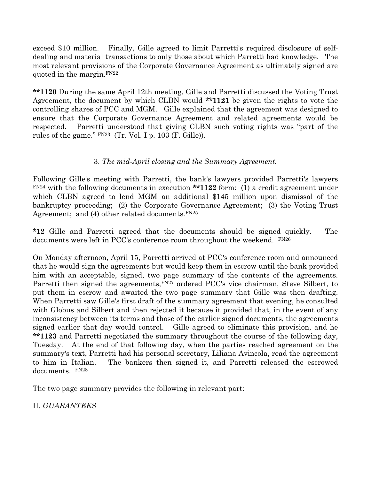exceed \$10 million. Finally, Gille agreed to limit Parretti's required disclosure of selfdealing and material transactions to only those about which Parretti had knowledge. The most relevant provisions of the Corporate Governance Agreement as ultimately signed are quoted in the margin.FN22

\*\*1120 During the same April 12th meeting, Gille and Parretti discussed the Voting Trust Agreement, the document by which CLBN would \*\*1121 be given the rights to vote the controlling shares of PCC and MGM. Gille explained that the agreement was designed to ensure that the Corporate Governance Agreement and related agreements would be respected. Parretti understood that giving CLBN such voting rights was "part of the rules of the game." FN23 (Tr. Vol. I p. 103 (F. Gille)).

# 3. The mid-April closing and the Summary Agreement.

Following Gille's meeting with Parretti, the bank's lawyers provided Parretti's lawyers  $F<sup>N24</sup>$  with the following documents in execution \*\*1122 form: (1) a credit agreement under which CLBN agreed to lend MGM an additional \$145 million upon dismissal of the bankruptcy proceeding; (2) the Corporate Governance Agreement; (3) the Voting Trust Agreement; and (4) other related documents.  $FN25$ 

\*12 Gille and Parretti agreed that the documents should be signed quickly. The documents were left in PCC's conference room throughout the weekend. FN26

On Monday afternoon, April 15, Parretti arrived at PCC's conference room and announced that he would sign the agreements but would keep them in escrow until the bank provided him with an acceptable, signed, two page summary of the contents of the agreements. Parretti then signed the agreements, FN27 ordered PCC's vice chairman, Steve Silbert, to put them in escrow and awaited the two page summary that Gille was then drafting. When Parretti saw Gille's first draft of the summary agreement that evening, he consulted with Globus and Silbert and then rejected it because it provided that, in the event of any inconsistency between its terms and those of the earlier signed documents, the agreements signed earlier that day would control. Gille agreed to eliminate this provision, and he \*\*1123 and Parretti negotiated the summary throughout the course of the following day, Tuesday. At the end of that following day, when the parties reached agreement on the summary's text, Parretti had his personal secretary, Liliana Avincola, read the agreement to him in Italian. The bankers then signed it, and Parretti released the escrowed documents. FN28

The two page summary provides the following in relevant part:

II. GUARANTEES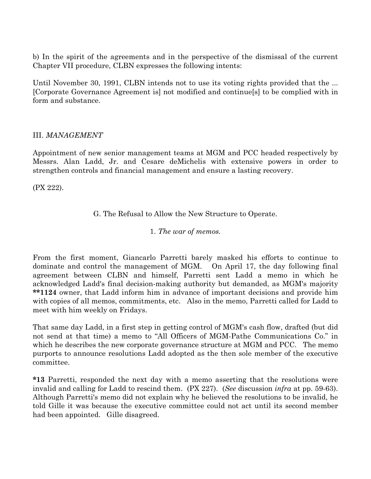b) In the spirit of the agreements and in the perspective of the dismissal of the current Chapter VII procedure, CLBN expresses the following intents:

Until November 30, 1991, CLBN intends not to use its voting rights provided that the ... [Corporate Governance Agreement is] not modified and continue[s] to be complied with in form and substance.

### III. MANAGEMENT

Appointment of new senior management teams at MGM and PCC headed respectively by Messrs. Alan Ladd, Jr. and Cesare deMichelis with extensive powers in order to strengthen controls and financial management and ensure a lasting recovery.

(PX 222).

G. The Refusal to Allow the New Structure to Operate.

1. The war of memos.

From the first moment, Giancarlo Parretti barely masked his efforts to continue to dominate and control the management of MGM. On April 17, the day following final agreement between CLBN and himself, Parretti sent Ladd a memo in which he acknowledged Ladd's final decision-making authority but demanded, as MGM's majority \*\*1124 owner, that Ladd inform him in advance of important decisions and provide him with copies of all memos, commitments, etc. Also in the memo, Parretti called for Ladd to meet with him weekly on Fridays.

That same day Ladd, in a first step in getting control of MGM's cash flow, drafted (but did not send at that time) a memo to "All Officers of MGM-Pathe Communications Co." in which he describes the new corporate governance structure at MGM and PCC. The memo purports to announce resolutions Ladd adopted as the then sole member of the executive committee.

\*13 Parretti, responded the next day with a memo asserting that the resolutions were invalid and calling for Ladd to rescind them. (PX 227). (See discussion infra at pp. 59-63). Although Parretti's memo did not explain why he believed the resolutions to be invalid, he told Gille it was because the executive committee could not act until its second member had been appointed. Gille disagreed.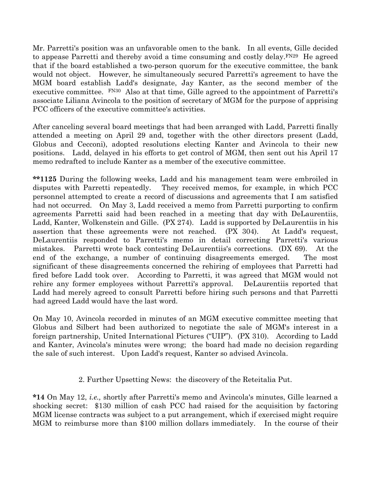Mr. Parretti's position was an unfavorable omen to the bank. In all events, Gille decided to appease Parretti and thereby avoid a time consuming and costly delay.  $F^{N29}$  He agreed that if the board established a two-person quorum for the executive committee, the bank would not object. However, he simultaneously secured Parretti's agreement to have the MGM board establish Ladd's designate, Jay Kanter, as the second member of the executive committee.  $\text{FN}^{30}$  Also at that time, Gille agreed to the appointment of Parretti's associate Liliana Avincola to the position of secretary of MGM for the purpose of apprising PCC officers of the executive committee's activities.

After canceling several board meetings that had been arranged with Ladd, Parretti finally attended a meeting on April 29 and, together with the other directors present (Ladd, Globus and Cecconi), adopted resolutions electing Kanter and Avincola to their new positions. Ladd, delayed in his efforts to get control of MGM, then sent out his April 17 memo redrafted to include Kanter as a member of the executive committee.

\*\*1125 During the following weeks, Ladd and his management team were embroiled in disputes with Parretti repeatedly. They received memos, for example, in which PCC personnel attempted to create a record of discussions and agreements that I am satisfied had not occurred. On May 3, Ladd received a memo from Parretti purporting to confirm agreements Parretti said had been reached in a meeting that day with DeLaurentiis, Ladd, Kanter, Wolkenstein and Gille. (PX 274). Ladd is supported by DeLaurentiis in his assertion that these agreements were not reached. (PX 304). At Ladd's request, DeLaurentiis responded to Parretti's memo in detail correcting Parretti's various mistakes. Parretti wrote back contesting DeLaurentiis's corrections. (DX 69). At the end of the exchange, a number of continuing disagreements emerged. The most significant of these disagreements concerned the rehiring of employees that Parretti had fired before Ladd took over. According to Parretti, it was agreed that MGM would not rehire any former employees without Parretti's approval. DeLaurentiis reported that Ladd had merely agreed to consult Parretti before hiring such persons and that Parretti had agreed Ladd would have the last word.

On May 10, Avincola recorded in minutes of an MGM executive committee meeting that Globus and Silbert had been authorized to negotiate the sale of MGM's interest in a foreign partnership, United International Pictures ("UIP"). (PX 310). According to Ladd and Kanter, Avincola's minutes were wrong; the board had made no decision regarding the sale of such interest. Upon Ladd's request, Kanter so advised Avincola.

2. Further Upsetting News: the discovery of the Reteitalia Put.

\*14 On May 12, i.e., shortly after Parretti's memo and Avincola's minutes, Gille learned a shocking secret: \$130 million of cash PCC had raised for the acquisition by factoring MGM license contracts was subject to a put arrangement, which if exercised might require MGM to reimburse more than \$100 million dollars immediately. In the course of their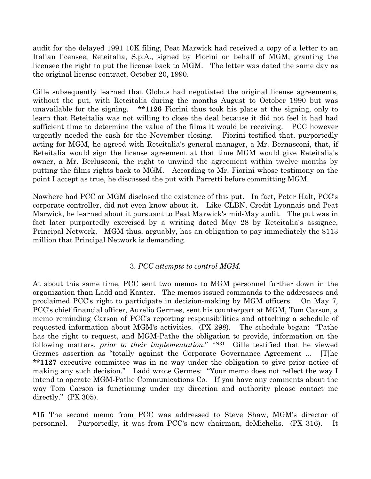audit for the delayed 1991 10K filing, Peat Marwick had received a copy of a letter to an Italian licensee, Reteitalia, S.p.A., signed by Fiorini on behalf of MGM, granting the licensee the right to put the license back to MGM. The letter was dated the same day as the original license contract, October 20, 1990.

Gille subsequently learned that Globus had negotiated the original license agreements, without the put, with Reteitalia during the months August to October 1990 but was unavailable for the signing. \*\*1126 Fiorini thus took his place at the signing, only to learn that Reteitalia was not willing to close the deal because it did not feel it had had sufficient time to determine the value of the films it would be receiving. PCC however urgently needed the cash for the November closing. Fiorini testified that, purportedly acting for MGM, he agreed with Reteitalia's general manager, a Mr. Bernasconi, that, if Reteitalia would sign the license agreement at that time MGM would give Reteitalia's owner, a Mr. Berlusconi, the right to unwind the agreement within twelve months by putting the films rights back to MGM. According to Mr. Fiorini whose testimony on the point I accept as true, he discussed the put with Parretti before committing MGM.

Nowhere had PCC or MGM disclosed the existence of this put. In fact, Peter Halt, PCC's corporate controller, did not even know about it. Like CLBN, Credit Lyonnais and Peat Marwick, he learned about it pursuant to Peat Marwick's mid-May audit. The put was in fact later purportedly exercised by a writing dated May 28 by Reteitalia's assignee, Principal Network. MGM thus, arguably, has an obligation to pay immediately the \$113 million that Principal Network is demanding.

#### 3. PCC attempts to control MGM.

At about this same time, PCC sent two memos to MGM personnel further down in the organization than Ladd and Kanter. The memos issued commands to the addressees and proclaimed PCC's right to participate in decision-making by MGM officers. On May 7, PCC's chief financial officer, Aurelio Germes, sent his counterpart at MGM, Tom Carson, a memo reminding Carson of PCC's reporting responsibilities and attaching a schedule of requested information about MGM's activities. (PX 298). The schedule began: "Pathe has the right to request, and MGM-Pathe the obligation to provide, information on the following matters, prior to their implementation." FN31 Gille testified that he viewed Germes assertion as "totally against the Corporate Governance Agreement ... [T]he \*\*1127 executive committee was in no way under the obligation to give prior notice of making any such decision." Ladd wrote Germes: "Your memo does not reflect the way I intend to operate MGM-Pathe Communications Co. If you have any comments about the way Tom Carson is functioning under my direction and authority please contact me directly." (PX 305).

\*15 The second memo from PCC was addressed to Steve Shaw, MGM's director of personnel. Purportedly, it was from PCC's new chairman, deMichelis. (PX 316). It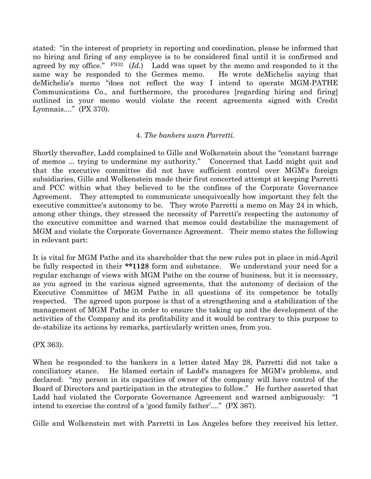stated: "in the interest of propriety in reporting and coordination, please be informed that no hiring and firing of any employee is to be considered final until it is confirmed and agreed by my office."  $FN32$  (Id.) Ladd was upset by the memo and responded to it the same way he responded to the Germes memo. He wrote deMichelis saying that deMichelis's memo "does not reflect the way I intend to operate MGM-PATHE Communications Co., and furthermore, the procedures [regarding hiring and firing] outlined in your memo would violate the recent agreements signed with Credit Lyonnais...." (PX 370).

#### 4. The bankers warn Parretti.

Shortly thereafter, Ladd complained to Gille and Wolkenstein about the "constant barrage of memos ... trying to undermine my authority." Concerned that Ladd might quit and that the executive committee did not have sufficient control over MGM's foreign subsidiaries, Gille and Wolkenstein made their first concerted attempt at keeping Parretti and PCC within what they believed to be the confines of the Corporate Governance Agreement. They attempted to communicate unequivocally how important they felt the executive committee's autonomy to be. They wrote Parretti a memo on May 24 in which, among other things, they stressed the necessity of Parretti's respecting the autonomy of the executive committee and warned that memos could destabilize the management of MGM and violate the Corporate Governance Agreement. Their memo states the following in relevant part:

It is vital for MGM Pathe and its shareholder that the new rules put in place in mid-April be fully respected in their \*\*1128 form and substance. We understand your need for a regular exchange of views with MGM Pathe on the course of business, but it is necessary, as you agreed in the various signed agreements, that the autonomy of decision of the Executive Committee of MGM Pathe in all questions of its competence be totally respected. The agreed upon purpose is that of a strengthening and a stabilization of the management of MGM Pathe in order to ensure the taking up and the development of the activities of the Company and its profitability and it would be contrary to this purpose to de-stabilize its actions by remarks, particularly written ones, from you.

(PX 363).

When he responded to the bankers in a letter dated May 28, Parretti did not take a conciliatory stance. He blamed certain of Ladd's managers for MGM's problems, and declared: "my person in its capacities of owner of the company will have control of the Board of Directors and participation in the strategies to follow." He further asserted that Ladd had violated the Corporate Governance Agreement and warned ambiguously: "I intend to exercise the control of a 'good family father'...." (PX 367).

Gille and Wolkenstein met with Parretti in Los Angeles before they received his letter.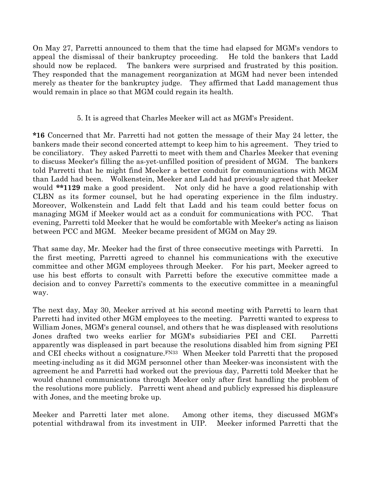On May 27, Parretti announced to them that the time had elapsed for MGM's vendors to appeal the dismissal of their bankruptcy proceeding. He told the bankers that Ladd should now be replaced. The bankers were surprised and frustrated by this position. They responded that the management reorganization at MGM had never been intended merely as theater for the bankruptcy judge. They affirmed that Ladd management thus would remain in place so that MGM could regain its health.

## 5. It is agreed that Charles Meeker will act as MGM's President.

\*16 Concerned that Mr. Parretti had not gotten the message of their May 24 letter, the bankers made their second concerted attempt to keep him to his agreement. They tried to be conciliatory. They asked Parretti to meet with them and Charles Meeker that evening to discuss Meeker's filling the as-yet-unfilled position of president of MGM. The bankers told Parretti that he might find Meeker a better conduit for communications with MGM than Ladd had been. Wolkenstein, Meeker and Ladd had previously agreed that Meeker would \*\*1129 make a good president. Not only did he have a good relationship with CLBN as its former counsel, but he had operating experience in the film industry. Moreover, Wolkenstein and Ladd felt that Ladd and his team could better focus on managing MGM if Meeker would act as a conduit for communications with PCC. That evening, Parretti told Meeker that he would be comfortable with Meeker's acting as liaison between PCC and MGM. Meeker became president of MGM on May 29.

That same day, Mr. Meeker had the first of three consecutive meetings with Parretti. In the first meeting, Parretti agreed to channel his communications with the executive committee and other MGM employees through Meeker. For his part, Meeker agreed to use his best efforts to consult with Parretti before the executive committee made a decision and to convey Parretti's comments to the executive committee in a meaningful way.

The next day, May 30, Meeker arrived at his second meeting with Parretti to learn that Parretti had invited other MGM employees to the meeting. Parretti wanted to express to William Jones, MGM's general counsel, and others that he was displeased with resolutions Jones drafted two weeks earlier for MGM's subsidiaries PEI and CEI. Parretti apparently was displeased in part because the resolutions disabled him from signing PEI and CEI checks without a cosignature.FN33 When Meeker told Parretti that the proposed meeting-including as it did MGM personnel other than Meeker-was inconsistent with the agreement he and Parretti had worked out the previous day, Parretti told Meeker that he would channel communications through Meeker only after first handling the problem of the resolutions more publicly. Parretti went ahead and publicly expressed his displeasure with Jones, and the meeting broke up.

Meeker and Parretti later met alone. Among other items, they discussed MGM's potential withdrawal from its investment in UIP. Meeker informed Parretti that the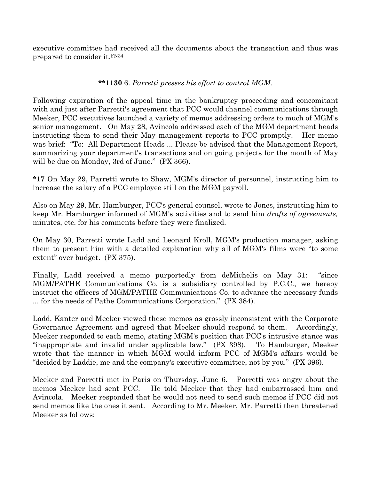executive committee had received all the documents about the transaction and thus was prepared to consider it.FN34

#### \*\*1130 6. Parretti presses his effort to control MGM.

Following expiration of the appeal time in the bankruptcy proceeding and concomitant with and just after Parretti's agreement that PCC would channel communications through Meeker, PCC executives launched a variety of memos addressing orders to much of MGM's senior management. On May 28, Avincola addressed each of the MGM department heads instructing them to send their May management reports to PCC promptly. Her memo was brief: "To: All Department Heads ... Please be advised that the Management Report, summarizing your department's transactions and on going projects for the month of May will be due on Monday, 3rd of June." (PX 366).

\*17 On May 29, Parretti wrote to Shaw, MGM's director of personnel, instructing him to increase the salary of a PCC employee still on the MGM payroll.

Also on May 29, Mr. Hamburger, PCC's general counsel, wrote to Jones, instructing him to keep Mr. Hamburger informed of MGM's activities and to send him drafts of agreements, minutes, etc. for his comments before they were finalized.

On May 30, Parretti wrote Ladd and Leonard Kroll, MGM's production manager, asking them to present him with a detailed explanation why all of MGM's films were "to some extent" over budget. (PX 375).

Finally, Ladd received a memo purportedly from deMichelis on May 31: "since MGM/PATHE Communications Co. is a subsidiary controlled by P.C.C., we hereby instruct the officers of MGM/PATHE Communications Co. to advance the necessary funds ... for the needs of Pathe Communications Corporation." (PX 384).

Ladd, Kanter and Meeker viewed these memos as grossly inconsistent with the Corporate Governance Agreement and agreed that Meeker should respond to them. Accordingly, Meeker responded to each memo, stating MGM's position that PCC's intrusive stance was "inappropriate and invalid under applicable law." (PX 398). To Hamburger, Meeker wrote that the manner in which MGM would inform PCC of MGM's affairs would be "decided by Laddie, me and the company's executive committee, not by you." (PX 396).

Meeker and Parretti met in Paris on Thursday, June 6. Parretti was angry about the memos Meeker had sent PCC. He told Meeker that they had embarrassed him and Avincola. Meeker responded that he would not need to send such memos if PCC did not send memos like the ones it sent. According to Mr. Meeker, Mr. Parretti then threatened Meeker as follows: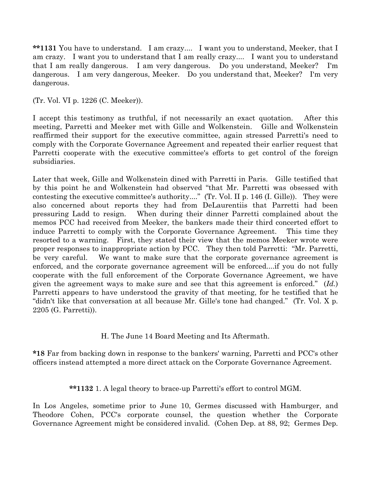\*\*1131 You have to understand. I am crazy.... I want you to understand, Meeker, that I am crazy. I want you to understand that I am really crazy.... I want you to understand that I am really dangerous. I am very dangerous. Do you understand, Meeker? I'm dangerous. I am very dangerous, Meeker. Do you understand that, Meeker? I'm very dangerous.

(Tr. Vol. VI p. 1226 (C. Meeker)).

I accept this testimony as truthful, if not necessarily an exact quotation. After this meeting, Parretti and Meeker met with Gille and Wolkenstein. Gille and Wolkenstein reaffirmed their support for the executive committee, again stressed Parretti's need to comply with the Corporate Governance Agreement and repeated their earlier request that Parretti cooperate with the executive committee's efforts to get control of the foreign subsidiaries.

Later that week, Gille and Wolkenstein dined with Parretti in Paris. Gille testified that by this point he and Wolkenstein had observed "that Mr. Parretti was obsessed with contesting the executive committee's authority...." (Tr. Vol. II p. 146 (I. Gille)). They were also concerned about reports they had from DeLaurentiis that Parretti had been pressuring Ladd to resign. When during their dinner Parretti complained about the memos PCC had received from Meeker, the bankers made their third concerted effort to induce Parretti to comply with the Corporate Governance Agreement. This time they resorted to a warning. First, they stated their view that the memos Meeker wrote were proper responses to inappropriate action by PCC. They then told Parretti: "Mr. Parretti, be very careful. We want to make sure that the corporate governance agreement is enforced, and the corporate governance agreement will be enforced....if you do not fully cooperate with the full enforcement of the Corporate Governance Agreement, we have given the agreement ways to make sure and see that this agreement is enforced."  $(Id.)$ Parretti appears to have understood the gravity of that meeting, for he testified that he "didn't like that conversation at all because Mr. Gille's tone had changed." (Tr. Vol. X p. 2205 (G. Parretti)).

H. The June 14 Board Meeting and Its Aftermath.

\*18 Far from backing down in response to the bankers' warning, Parretti and PCC's other officers instead attempted a more direct attack on the Corporate Governance Agreement.

\*\*1132 1. A legal theory to brace-up Parretti's effort to control MGM.

In Los Angeles, sometime prior to June 10, Germes discussed with Hamburger, and Theodore Cohen, PCC's corporate counsel, the question whether the Corporate Governance Agreement might be considered invalid. (Cohen Dep. at 88, 92; Germes Dep.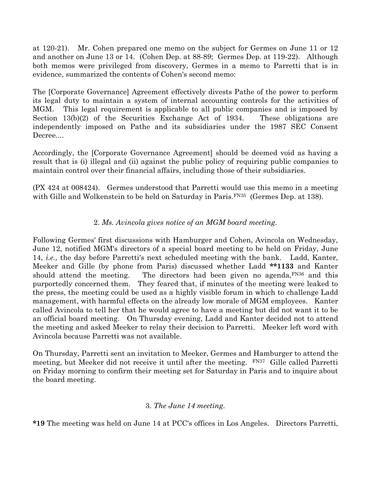at 120-21). Mr. Cohen prepared one memo on the subject for Germes on June 11 or 12 and another on June 13 or 14. (Cohen Dep. at 88-89; Germes Dep. at 119-22). Although both memos were privileged from discovery, Germes in a memo to Parretti that is in evidence, summarized the contents of Cohen's second memo:

The [Corporate Governance] Agreement effectively divests Pathe of the power to perform its legal duty to maintain a system of internal accounting controls for the activities of MGM. This legal requirement is applicable to all public companies and is imposed by Section 13(b)(2) of the Securities Exchange Act of 1934. These obligations are independently imposed on Pathe and its subsidiaries under the 1987 SEC Consent Decree....

Accordingly, the [Corporate Governance Agreement] should be deemed void as having a result that is (i) illegal and (ii) against the public policy of requiring public companies to maintain control over their financial affairs, including those of their subsidiaries.

(PX 424 at 008424). Germes understood that Parretti would use this memo in a meeting with Gille and Wolkenstein to be held on Saturday in Paris.<sup>FN35</sup> (Germes Dep. at 138).

# 2. Ms. Avincola gives notice of an MGM board meeting.

Following Germes' first discussions with Hamburger and Cohen, Avincola on Wednesday, June 12, notified MGM's directors of a special board meeting to be held on Friday, June 14, i.e., the day before Parretti's next scheduled meeting with the bank. Ladd, Kanter, Meeker and Gille (by phone from Paris) discussed whether Ladd \*\*1133 and Kanter should attend the meeting. The directors had been given no agenda, FN36 and this purportedly concerned them. They feared that, if minutes of the meeting were leaked to the press, the meeting could be used as a highly visible forum in which to challenge Ladd management, with harmful effects on the already low morale of MGM employees. Kanter called Avincola to tell her that he would agree to have a meeting but did not want it to be an official board meeting. On Thursday evening, Ladd and Kanter decided not to attend the meeting and asked Meeker to relay their decision to Parretti. Meeker left word with Avincola because Parretti was not available.

On Thursday, Parretti sent an invitation to Meeker, Germes and Hamburger to attend the meeting, but Meeker did not receive it until after the meeting. FN37 Gille called Parretti on Friday morning to confirm their meeting set for Saturday in Paris and to inquire about the board meeting.

# 3. The June 14 meeting.

\*19 The meeting was held on June 14 at PCC's offices in Los Angeles. Directors Parretti,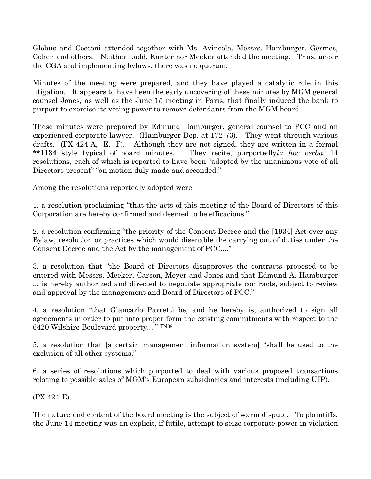Globus and Cecconi attended together with Ms. Avincola, Messrs. Hamburger, Germes, Cohen and others. Neither Ladd, Kanter nor Meeker attended the meeting. Thus, under the CGA and implementing bylaws, there was no quorum.

Minutes of the meeting were prepared, and they have played a catalytic role in this litigation. It appears to have been the early uncovering of these minutes by MGM general counsel Jones, as well as the June 15 meeting in Paris, that finally induced the bank to purport to exercise its voting power to remove defendants from the MGM board.

These minutes were prepared by Edmund Hamburger, general counsel to PCC and an experienced corporate lawyer. (Hamburger Dep. at 172-73). They went through various drafts. (PX 424-A, -E, -F). Although they are not signed, they are written in a formal \*\*1134 style typical of board minutes. They recite, purportedly *in hoc verba*, 14 resolutions, each of which is reported to have been "adopted by the unanimous vote of all Directors present" "on motion duly made and seconded."

Among the resolutions reportedly adopted were:

1. a resolution proclaiming "that the acts of this meeting of the Board of Directors of this Corporation are hereby confirmed and deemed to be efficacious."

2. a resolution confirming "the priority of the Consent Decree and the [1934] Act over any Bylaw, resolution or practices which would disenable the carrying out of duties under the Consent Decree and the Act by the management of PCC...."

3. a resolution that "the Board of Directors disapproves the contracts proposed to be entered with Messrs. Meeker, Carson, Meyer and Jones and that Edmund A. Hamburger ... is hereby authorized and directed to negotiate appropriate contracts, subject to review and approval by the management and Board of Directors of PCC."

4. a resolution "that Giancarlo Parretti be, and he hereby is, authorized to sign all agreements in order to put into proper form the existing commitments with respect to the 6420 Wilshire Boulevard property...." FN38

5. a resolution that [a certain management information system] "shall be used to the exclusion of all other systems."

6. a series of resolutions which purported to deal with various proposed transactions relating to possible sales of MGM's European subsidiaries and interests (including UIP).

(PX 424-E).

The nature and content of the board meeting is the subject of warm dispute. To plaintiffs, the June 14 meeting was an explicit, if futile, attempt to seize corporate power in violation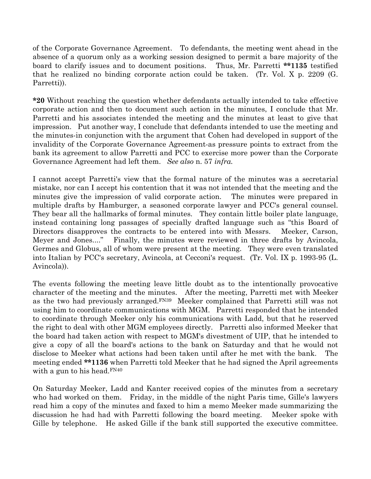of the Corporate Governance Agreement. To defendants, the meeting went ahead in the absence of a quorum only as a working session designed to permit a bare majority of the board to clarify issues and to document positions. Thus, Mr. Parretti \*\*1135 testified that he realized no binding corporate action could be taken. (Tr. Vol. X p. 2209 (G. Parretti)).

\*20 Without reaching the question whether defendants actually intended to take effective corporate action and then to document such action in the minutes, I conclude that Mr. Parretti and his associates intended the meeting and the minutes at least to give that impression. Put another way, I conclude that defendants intended to use the meeting and the minutes-in conjunction with the argument that Cohen had developed in support of the invalidity of the Corporate Governance Agreement-as pressure points to extract from the bank its agreement to allow Parretti and PCC to exercise more power than the Corporate Governance Agreement had left them. See also n. 57 infra.

I cannot accept Parretti's view that the formal nature of the minutes was a secretarial mistake, nor can I accept his contention that it was not intended that the meeting and the minutes give the impression of valid corporate action. The minutes were prepared in multiple drafts by Hamburger, a seasoned corporate lawyer and PCC's general counsel. They bear all the hallmarks of formal minutes. They contain little boiler plate language, instead containing long passages of specially drafted language such as "this Board of Directors disapproves the contracts to be entered into with Messrs. Meeker, Carson, Meyer and Jones...." Finally, the minutes were reviewed in three drafts by Avincola, Germes and Globus, all of whom were present at the meeting. They were even translated into Italian by PCC's secretary, Avincola, at Cecconi's request. (Tr. Vol. IX p. 1993-95 (L. Avincola)).

The events following the meeting leave little doubt as to the intentionally provocative character of the meeting and the minutes. After the meeting, Parretti met with Meeker as the two had previously arranged.FN39 Meeker complained that Parretti still was not using him to coordinate communications with MGM. Parretti responded that he intended to coordinate through Meeker only his communications with Ladd, but that he reserved the right to deal with other MGM employees directly. Parretti also informed Meeker that the board had taken action with respect to MGM's divestment of UIP, that he intended to give a copy of all the board's actions to the bank on Saturday and that he would not disclose to Meeker what actions had been taken until after he met with the bank. The meeting ended \*\*1136 when Parretti told Meeker that he had signed the April agreements with a gun to his head.  $FN40$ 

On Saturday Meeker, Ladd and Kanter received copies of the minutes from a secretary who had worked on them. Friday, in the middle of the night Paris time, Gille's lawyers read him a copy of the minutes and faxed to him a memo Meeker made summarizing the discussion he had had with Parretti following the board meeting. Meeker spoke with Gille by telephone. He asked Gille if the bank still supported the executive committee.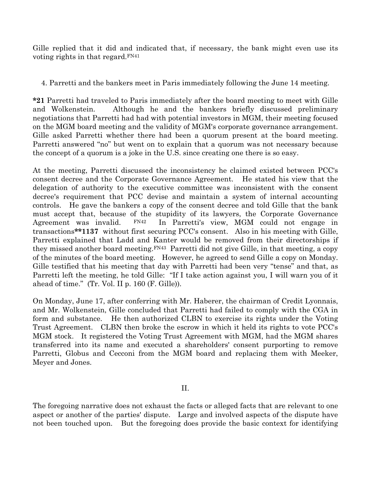Gille replied that it did and indicated that, if necessary, the bank might even use its voting rights in that regard.FN41

4. Parretti and the bankers meet in Paris immediately following the June 14 meeting.

\*21 Parretti had traveled to Paris immediately after the board meeting to meet with Gille and Wolkenstein. Although he and the bankers briefly discussed preliminary negotiations that Parretti had had with potential investors in MGM, their meeting focused on the MGM board meeting and the validity of MGM's corporate governance arrangement. Gille asked Parretti whether there had been a quorum present at the board meeting. Parretti answered "no" but went on to explain that a quorum was not necessary because the concept of a quorum is a joke in the U.S. since creating one there is so easy.

At the meeting, Parretti discussed the inconsistency he claimed existed between PCC's consent decree and the Corporate Governance Agreement. He stated his view that the delegation of authority to the executive committee was inconsistent with the consent decree's requirement that PCC devise and maintain a system of internal accounting controls. He gave the bankers a copy of the consent decree and told Gille that the bank must accept that, because of the stupidity of its lawyers, the Corporate Governance Agreement was invalid. FN42 In Parretti's view, MGM could not engage in transactions\*\*1137 without first securing PCC's consent. Also in his meeting with Gille, Parretti explained that Ladd and Kanter would be removed from their directorships if they missed another board meeting.FN43 Parretti did not give Gille, in that meeting, a copy of the minutes of the board meeting. However, he agreed to send Gille a copy on Monday. Gille testified that his meeting that day with Parretti had been very "tense" and that, as Parretti left the meeting, he told Gille: "If I take action against you, I will warn you of it ahead of time." (Tr. Vol. II p. 160 (F. Gille)).

On Monday, June 17, after conferring with Mr. Haberer, the chairman of Credit Lyonnais, and Mr. Wolkenstein, Gille concluded that Parretti had failed to comply with the CGA in form and substance. He then authorized CLBN to exercise its rights under the Voting Trust Agreement. CLBN then broke the escrow in which it held its rights to vote PCC's MGM stock. It registered the Voting Trust Agreement with MGM, had the MGM shares transferred into its name and executed a shareholders' consent purporting to remove Parretti, Globus and Cecconi from the MGM board and replacing them with Meeker, Meyer and Jones.

II.

The foregoing narrative does not exhaust the facts or alleged facts that are relevant to one aspect or another of the parties' dispute. Large and involved aspects of the dispute have not been touched upon. But the foregoing does provide the basic context for identifying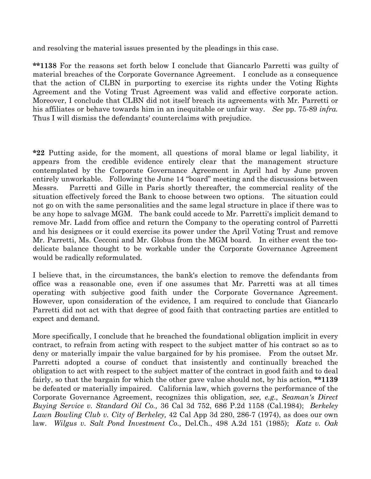and resolving the material issues presented by the pleadings in this case.

\*\*1138 For the reasons set forth below I conclude that Giancarlo Parretti was guilty of material breaches of the Corporate Governance Agreement. I conclude as a consequence that the action of CLBN in purporting to exercise its rights under the Voting Rights Agreement and the Voting Trust Agreement was valid and effective corporate action. Moreover, I conclude that CLBN did not itself breach its agreements with Mr. Parretti or his affiliates or behave towards him in an inequitable or unfair way. See pp. 75-89 *infra*. Thus I will dismiss the defendants' counterclaims with prejudice.

\*22 Putting aside, for the moment, all questions of moral blame or legal liability, it appears from the credible evidence entirely clear that the management structure contemplated by the Corporate Governance Agreement in April had by June proven entirely unworkable. Following the June 14 "board" meeting and the discussions between Messrs. Parretti and Gille in Paris shortly thereafter, the commercial reality of the situation effectively forced the Bank to choose between two options. The situation could not go on with the same personalities and the same legal structure in place if there was to be any hope to salvage MGM. The bank could accede to Mr. Parretti's implicit demand to remove Mr. Ladd from office and return the Company to the operating control of Parretti and his designees or it could exercise its power under the April Voting Trust and remove Mr. Parretti, Ms. Cecconi and Mr. Globus from the MGM board. In either event the toodelicate balance thought to be workable under the Corporate Governance Agreement would be radically reformulated.

I believe that, in the circumstances, the bank's election to remove the defendants from office was a reasonable one, even if one assumes that Mr. Parretti was at all times operating with subjective good faith under the Corporate Governance Agreement. However, upon consideration of the evidence, I am required to conclude that Giancarlo Parretti did not act with that degree of good faith that contracting parties are entitled to expect and demand.

More specifically, I conclude that he breached the foundational obligation implicit in every contract, to refrain from acting with respect to the subject matter of his contract so as to deny or materially impair the value bargained for by his promisee. From the outset Mr. Parretti adopted a course of conduct that insistently and continually breached the obligation to act with respect to the subject matter of the contract in good faith and to deal fairly, so that the bargain for which the other gave value should not, by his action, \*\*1139 be defeated or materially impaired. California law, which governs the performance of the Corporate Governance Agreement, recognizes this obligation, see, e.g., Seaman's Direct Buying Service v. Standard Oil Co., 36 Cal 3d 752, 686 P.2d 1158 (Cal.1984); Berkeley Lawn Bowling Club v. City of Berkeley, 42 Cal App 3d 280, 286-7 (1974), as does our own law. Wilgus v. Salt Pond Investment Co., Del.Ch., 498 A.2d 151 (1985); Katz v. Oak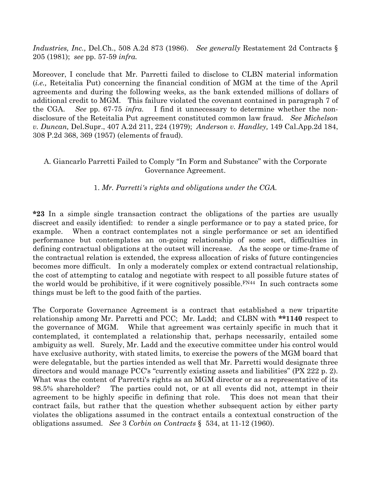Industries, Inc., Del.Ch., 508 A.2d 873 (1986). See generally Restatement 2d Contracts § 205 (1981); see pp. 57-59 infra.

Moreover, I conclude that Mr. Parretti failed to disclose to CLBN material information (i.e., Reteitalia Put) concerning the financial condition of MGM at the time of the April agreements and during the following weeks, as the bank extended millions of dollars of additional credit to MGM. This failure violated the covenant contained in paragraph 7 of the CGA. See pp. 67-75 infra. I find it unnecessary to determine whether the nondisclosure of the Reteitalia Put agreement constituted common law fraud. See Michelson v. Duncan, Del.Supr., 407 A.2d 211, 224 (1979); Anderson v. Handley, 149 Cal.App.2d 184, 308 P.2d 368, 369 (1957) (elements of fraud).

### A. Giancarlo Parretti Failed to Comply "In Form and Substance" with the Corporate Governance Agreement.

### 1. Mr. Parretti's rights and obligations under the CGA.

\*23 In a simple single transaction contract the obligations of the parties are usually discreet and easily identified: to render a single performance or to pay a stated price, for example. When a contract contemplates not a single performance or set an identified performance but contemplates an on-going relationship of some sort, difficulties in defining contractual obligations at the outset will increase. As the scope or time-frame of the contractual relation is extended, the express allocation of risks of future contingencies becomes more difficult. In only a moderately complex or extend contractual relationship, the cost of attempting to catalog and negotiate with respect to all possible future states of the world would be prohibitive, if it were cognitively possible.  $F_{N44}$  In such contracts some things must be left to the good faith of the parties.

The Corporate Governance Agreement is a contract that established a new tripartite relationship among Mr. Parretti and PCC; Mr. Ladd; and CLBN with \*\*1140 respect to the governance of MGM. While that agreement was certainly specific in much that it contemplated, it contemplated a relationship that, perhaps necessarily, entailed some ambiguity as well. Surely, Mr. Ladd and the executive committee under his control would have exclusive authority, with stated limits, to exercise the powers of the MGM board that were delegatable, but the parties intended as well that Mr. Parretti would designate three directors and would manage PCC's "currently existing assets and liabilities" (PX 222 p. 2). What was the content of Parretti's rights as an MGM director or as a representative of its 98.5% shareholder? The parties could not, or at all events did not, attempt in their agreement to be highly specific in defining that role. This does not mean that their contract fails, but rather that the question whether subsequent action by either party violates the obligations assumed in the contract entails a contextual construction of the obligations assumed. See 3 Corbin on Contracts § 534, at 11-12 (1960).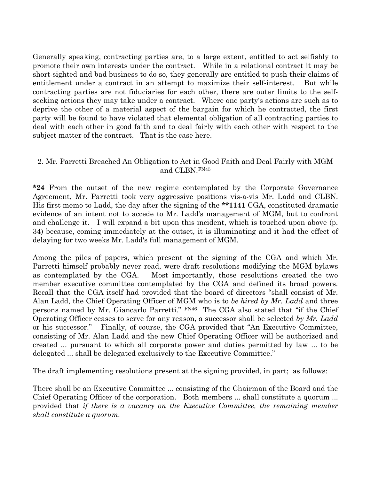Generally speaking, contracting parties are, to a large extent, entitled to act selfishly to promote their own interests under the contract. While in a relational contract it may be short-sighted and bad business to do so, they generally are entitled to push their claims of entitlement under a contract in an attempt to maximize their self-interest. But while contracting parties are not fiduciaries for each other, there are outer limits to the selfseeking actions they may take under a contract. Where one party's actions are such as to deprive the other of a material aspect of the bargain for which he contracted, the first party will be found to have violated that elemental obligation of all contracting parties to deal with each other in good faith and to deal fairly with each other with respect to the subject matter of the contract. That is the case here.

### 2. Mr. Parretti Breached An Obligation to Act in Good Faith and Deal Fairly with MGM and CLBN.FN45

\*24 From the outset of the new regime contemplated by the Corporate Governance Agreement, Mr. Parretti took very aggressive positions vis-a-vis Mr. Ladd and CLBN. His first memo to Ladd, the day after the signing of the \*\*1141 CGA, constituted dramatic evidence of an intent not to accede to Mr. Ladd's management of MGM, but to confront and challenge it. I will expand a bit upon this incident, which is touched upon above (p. 34) because, coming immediately at the outset, it is illuminating and it had the effect of delaying for two weeks Mr. Ladd's full management of MGM.

Among the piles of papers, which present at the signing of the CGA and which Mr. Parretti himself probably never read, were draft resolutions modifying the MGM bylaws as contemplated by the CGA. Most importantly, those resolutions created the two member executive committee contemplated by the CGA and defined its broad powers. Recall that the CGA itself had provided that the board of directors "shall consist of Mr. Alan Ladd, the Chief Operating Officer of MGM who is to be hired by Mr. Ladd and three persons named by Mr. Giancarlo Parretti." FN46 The CGA also stated that "if the Chief Operating Officer ceases to serve for any reason, a successor shall be selected by  $Mr.$  Ladd or his successor." Finally, of course, the CGA provided that "An Executive Committee, consisting of Mr. Alan Ladd and the new Chief Operating Officer will be authorized and created ... pursuant to which all corporate power and duties permitted by law ... to be delegated ... shall be delegated exclusively to the Executive Committee."

The draft implementing resolutions present at the signing provided, in part; as follows:

There shall be an Executive Committee ... consisting of the Chairman of the Board and the Chief Operating Officer of the corporation. Both members ... shall constitute a quorum ... provided that if there is a vacancy on the Executive Committee, the remaining member shall constitute a quorum.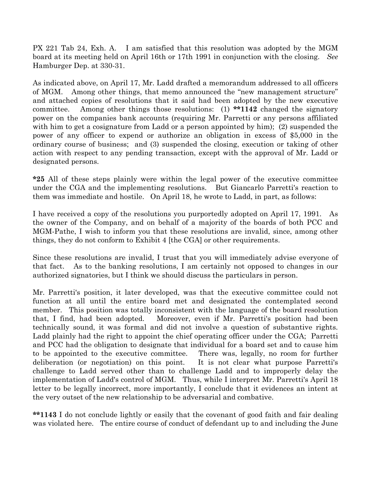PX 221 Tab 24, Exh. A. I am satisfied that this resolution was adopted by the MGM board at its meeting held on April 16th or 17th 1991 in conjunction with the closing. See Hamburger Dep. at 330-31.

As indicated above, on April 17, Mr. Ladd drafted a memorandum addressed to all officers of MGM. Among other things, that memo announced the "new management structure" and attached copies of resolutions that it said had been adopted by the new executive committee. Among other things those resolutions: (1) \*\*1142 changed the signatory power on the companies bank accounts (requiring Mr. Parretti or any persons affiliated with him to get a cosignature from Ladd or a person appointed by him); (2) suspended the power of any officer to expend or authorize an obligation in excess of \$5,000 in the ordinary course of business; and (3) suspended the closing, execution or taking of other action with respect to any pending transaction, except with the approval of Mr. Ladd or designated persons.

\*25 All of these steps plainly were within the legal power of the executive committee under the CGA and the implementing resolutions. But Giancarlo Parretti's reaction to them was immediate and hostile. On April 18, he wrote to Ladd, in part, as follows:

I have received a copy of the resolutions you purportedly adopted on April 17, 1991. As the owner of the Company, and on behalf of a majority of the boards of both PCC and MGM-Pathe, I wish to inform you that these resolutions are invalid, since, among other things, they do not conform to Exhibit 4 [the CGA] or other requirements.

Since these resolutions are invalid, I trust that you will immediately advise everyone of that fact. As to the banking resolutions, I am certainly not opposed to changes in our authorized signatories, but I think we should discuss the particulars in person.

Mr. Parretti's position, it later developed, was that the executive committee could not function at all until the entire board met and designated the contemplated second member. This position was totally inconsistent with the language of the board resolution that, I find, had been adopted. Moreover, even if Mr. Parretti's position had been technically sound, it was formal and did not involve a question of substantive rights. Ladd plainly had the right to appoint the chief operating officer under the CGA; Parretti and PCC had the obligation to designate that individual for a board set and to cause him to be appointed to the executive committee. There was, legally, no room for further deliberation (or negotiation) on this point. It is not clear what purpose Parretti's challenge to Ladd served other than to challenge Ladd and to improperly delay the implementation of Ladd's control of MGM. Thus, while I interpret Mr. Parretti's April 18 letter to be legally incorrect, more importantly, I conclude that it evidences an intent at the very outset of the new relationship to be adversarial and combative.

\*\*1143 I do not conclude lightly or easily that the covenant of good faith and fair dealing was violated here. The entire course of conduct of defendant up to and including the June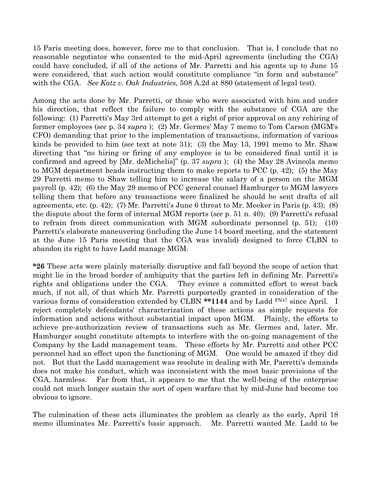15 Paris meeting does, however, force me to that conclusion. That is, I conclude that no reasonable negotiator who consented to the mid-April agreements (including the CGA) could have concluded, if all of the actions of Mr. Parretti and his agents up to June 15 were considered, that such action would constitute compliance "in form and substance" with the CGA. See Katz v. Oak Industries, 508 A.2d at 880 (statement of legal test).

Among the acts done by Mr. Parretti, or those who were associated with him and under his direction, that reflect the failure to comply with the substance of CGA are the following: (1) Parretti's May 3rd attempt to get a right of prior approval on any rehiring of former employees (see p. 34 supra ); (2) Mr. Germes' May 7 memo to Tom Carson (MGM's CFO) demanding that prior to the implementation of transactions, information of various kinds be provided to him (see text at note 31); (3) the May 13, 1991 memo to Mr. Shaw directing that "no hiring or firing of any employee is to be considered final until it is confirmed and agreed by [Mr. deMichelis]" (p. 37 supra ); (4) the May 28 Avincola memo to MGM department heads instructing them to make reports to PCC  $(p. 42)$ ; (5) the May 29 Parretti memo to Shaw telling him to increase the salary of a person on the MGM payroll (p. 42); (6) the May 29 memo of PCC general counsel Hamburger to MGM lawyers telling them that before any transactions were finalized he should be sent drafts of all agreements, etc. (p. 42); (7) Mr. Parretti's June 6 threat to Mr. Meeker in Paris (p. 43); (8) the dispute about the form of internal MGM reports (see p. 51 n. 40); (9) Parretti's refusal to refrain from direct communication with MGM subordinate personnel (p. 51); (10) Parretti's elaborate maneuvering (including the June 14 board meeting, and the statement at the June 15 Paris meeting that the CGA was invalid) designed to force CLBN to abandon its right to have Ladd manage MGM.

\*26 These acts were plainly materially disruptive and fall beyond the scope of action that might lie in the broad border of ambiguity that the parties left in defining Mr. Parretti's rights and obligations under the CGA. They evince a committed effort to wrest back much, if not all, of that which Mr. Parretti purportedly granted in consideration of the various forms of consideration extended by CLBN \*\*1144 and by Ladd FN47 since April. I reject completely defendants' characterization of these actions as simple requests for information and actions without substantial impact upon MGM. Plainly, the efforts to achieve pre-authorization review of transactions such as Mr. Germes and, later, Mr. Hamburger sought constitute attempts to interfere with the on-going management of the Company by the Ladd management team. These efforts by Mr. Parretti and other PCC personnel had an effect upon the functioning of MGM. One would be amazed if they did not. But that the Ladd management was resolute in dealing with Mr. Parretti's demands does not make his conduct, which was inconsistent with the most basic provisions of the CGA, harmless. Far from that, it appears to me that the well-being of the enterprise could not much longer sustain the sort of open warfare that by mid-June had become too obvious to ignore.

The culmination of these acts illuminates the problem as clearly as the early, April 18 memo illuminates Mr. Parretti's basic approach. Mr. Parretti wanted Mr. Ladd to be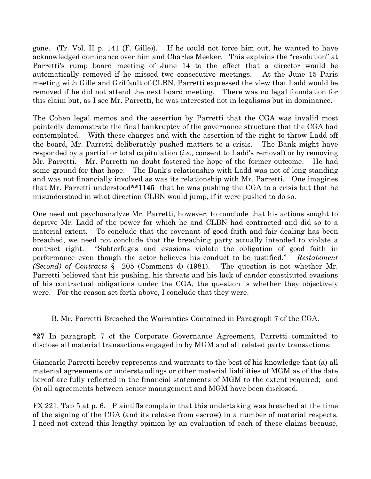gone. (Tr. Vol. II p. 141 (F. Gille)). If he could not force him out, he wanted to have acknowledged dominance over him and Charles Meeker. This explains the "resolution" at Parretti's rump board meeting of June 14 to the effect that a director would be automatically removed if he missed two consecutive meetings. At the June 15 Paris meeting with Gille and Griffault of CLBN, Parretti expressed the view that Ladd would be removed if he did not attend the next board meeting. There was no legal foundation for this claim but, as I see Mr. Parretti, he was interested not in legalisms but in dominance.

The Cohen legal memos and the assertion by Parretti that the CGA was invalid most pointedly demonstrate the final bankruptcy of the governance structure that the CGA had contemplated. With these charges and with the assertion of the right to throw Ladd off the board, Mr. Parretti deliberately pushed matters to a crisis. The Bank might have responded by a partial or total capitulation (i.e., consent to Ladd's removal) or by removing Mr. Parretti. Mr. Parretti no doubt fostered the hope of the former outcome. He had some ground for that hope. The Bank's relationship with Ladd was not of long standing and was not financially involved as was its relationship with Mr. Parretti. One imagines that Mr. Parretti understood\*\*1145 that he was pushing the CGA to a crisis but that he misunderstood in what direction CLBN would jump, if it were pushed to do so.

One need not psychoanalyze Mr. Parretti, however, to conclude that his actions sought to deprive Mr. Ladd of the power for which he and CLBN had contracted and did so to a material extent. To conclude that the covenant of good faith and fair dealing has been breached, we need not conclude that the breaching party actually intended to violate a contract right. "Subterfuges and evasions violate the obligation of good faith in performance even though the actor believes his conduct to be justified." Restatement (Second) of Contracts § 205 (Comment d) (1981). The question is not whether Mr. Parretti believed that his pushing, his threats and his lack of candor constituted evasions of his contractual obligations under the CGA, the question is whether they objectively were. For the reason set forth above, I conclude that they were.

#### B. Mr. Parretti Breached the Warranties Contained in Paragraph 7 of the CGA.

\*27 In paragraph 7 of the Corporate Governance Agreement, Parretti committed to disclose all material transactions engaged in by MGM and all related party transactions:

Giancarlo Parretti hereby represents and warrants to the best of his knowledge that (a) all material agreements or understandings or other material liabilities of MGM as of the date hereof are fully reflected in the financial statements of MGM to the extent required; and (b) all agreements between senior management and MGM have been disclosed.

FX 221, Tab 5 at p. 6. Plaintiffs complain that this undertaking was breached at the time of the signing of the CGA (and its release from escrow) in a number of material respects. I need not extend this lengthy opinion by an evaluation of each of these claims because,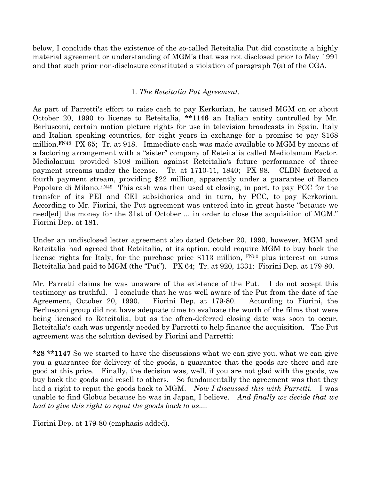below, I conclude that the existence of the so-called Reteitalia Put did constitute a highly material agreement or understanding of MGM's that was not disclosed prior to May 1991 and that such prior non-disclosure constituted a violation of paragraph 7(a) of the CGA.

### 1. The Reteitalia Put Agreement.

As part of Parretti's effort to raise cash to pay Kerkorian, he caused MGM on or about October 20, 1990 to license to Reteitalia, \*\*1146 an Italian entity controlled by Mr. Berlusconi, certain motion picture rights for use in television broadcasts in Spain, Italy and Italian speaking countries, for eight years in exchange for a promise to pay \$168 million.<sup>FN48</sup> PX 65; Tr. at 918. Immediate cash was made available to MGM by means of a factoring arrangement with a "sister" company of Reteitalia called Mediolanum Factor. Mediolanum provided \$108 million against Reteitalia's future performance of three payment streams under the license. Tr. at 1710-11, 1840; PX 98. CLBN factored a fourth payment stream, providing \$22 million, apparently under a guarantee of Banco Popolare di Milano.FN49 This cash was then used at closing, in part, to pay PCC for the transfer of its PEI and CEI subsidiaries and in turn, by PCC, to pay Kerkorian. According to Mr. Fiorini, the Put agreement was entered into in great haste "because we need[ed] the money for the 31st of October ... in order to close the acquisition of MGM." Fiorini Dep. at 181.

Under an undisclosed letter agreement also dated October 20, 1990, however, MGM and Reteitalia had agreed that Reteitalia, at its option, could require MGM to buy back the license rights for Italy, for the purchase price \$113 million,  $FN50$  plus interest on sums Reteitalia had paid to MGM (the "Put"). PX 64; Tr. at 920, 1331; Fiorini Dep. at 179-80.

Mr. Parretti claims he was unaware of the existence of the Put. I do not accept this testimony as truthful. I conclude that he was well aware of the Put from the date of the Agreement, October 20, 1990. Fiorini Dep. at 179-80. According to Fiorini, the Berlusconi group did not have adequate time to evaluate the worth of the films that were being licensed to Reteitalia, but as the often-deferred closing date was soon to occur, Reteitalia's cash was urgently needed by Parretti to help finance the acquisition. The Put agreement was the solution devised by Fiorini and Parretti:

\*28 \*\*1147 So we started to have the discussions what we can give you, what we can give you a guarantee for delivery of the goods, a guarantee that the goods are there and are good at this price. Finally, the decision was, well, if you are not glad with the goods, we buy back the goods and resell to others. So fundamentally the agreement was that they had a right to reput the goods back to MGM. Now I discussed this with Parretti. I was unable to find Globus because he was in Japan, I believe. And finally we decide that we had to give this right to reput the goods back to us....

Fiorini Dep. at 179-80 (emphasis added).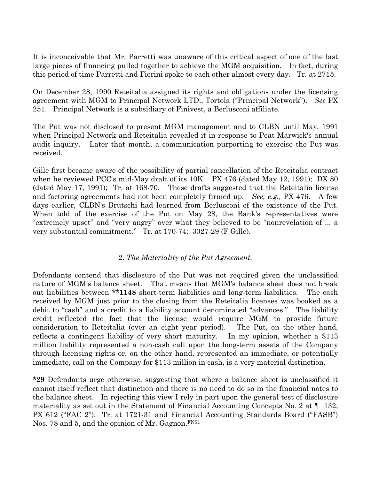It is inconceivable that Mr. Parretti was unaware of this critical aspect of one of the last large pieces of financing pulled together to achieve the MGM acquisition. In fact, during this period of time Parretti and Fiorini spoke to each other almost every day. Tr. at 2715.

On December 28, 1990 Reteitalia assigned its rights and obligations under the licensing agreement with MGM to Principal Network LTD., Tortola ("Principal Network"). See PX 251. Principal Network is a subsidiary of Finivest, a Berlusconi affiliate.

The Put was not disclosed to present MGM management and to CLBN until May, 1991 when Principal Network and Reteitalia revealed it in response to Peat Marwick's annual audit inquiry. Later that month, a communication purporting to exercise the Put was received.

Gille first became aware of the possibility of partial cancellation of the Reteitalia contract when he reviewed PCC's mid-May draft of its 10K. PX 476 (dated May 12, 1991); DX 80 (dated May 17, 1991); Tr. at 168-70. These drafts suggested that the Reteitalia license and factoring agreements had not been completely firmed up. See, e.g., PX 476. A few days earlier, CLBN's Brutschi had learned from Berlusconi of the existence of the Put. When told of the exercise of the Put on May 28, the Bank's representatives were "extremely upset" and "very angry" over what they believed to be "nonrevelation of ... a very substantial commitment." Tr. at 170-74; 3027-29 (F Gille).

#### 2. The Materiality of the Put Agreement.

Defendants contend that disclosure of the Put was not required given the unclassified nature of MGM's balance sheet. That means that MGM's balance sheet does not break out liabilities between \*\*1148 short-term liabilities and long-term liabilities. The cash received by MGM just prior to the closing from the Reteitalia licenses was booked as a debit to "cash" and a credit to a liability account denominated "advances." The liability credit reflected the fact that the license would require MGM to provide future consideration to Reteitalia (over an eight year period). The Put, on the other hand, reflects a contingent liability of very short maturity. In my opinion, whether a \$113 million liability represented a non-cash call upon the long-term assets of the Company through licensing rights or, on the other hand, represented an immediate, or potentially immediate, call on the Company for \$113 million in cash, is a very material distinction.

\*29 Defendants urge otherwise, suggesting that where a balance sheet is unclassified it cannot itself reflect that distinction and there is no need to do so in the financial notes to the balance sheet. In rejecting this view I rely in part upon the general test of disclosure materiality as set out in the Statement of Financial Accounting Concepts No. 2 at  $\P$  132; PX 612 ("FAC 2"); Tr. at 1721-31 and Financial Accounting Standards Board ("FASB") Nos. 78 and 5, and the opinion of Mr. Gagnon.<sup>FN51</sup>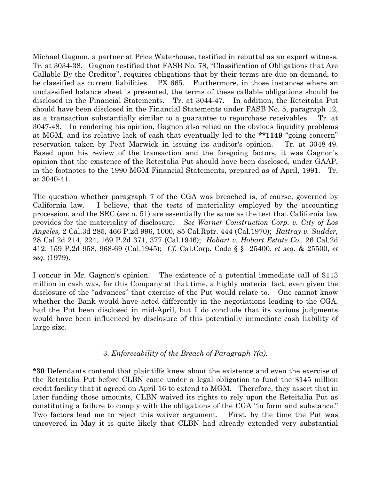Michael Gagnon, a partner at Price Waterhouse, testified in rebuttal as an expert witness. Tr. at 3034-38. Gagnon testified that FASB No. 78, "Classification of Obligations that Are Callable By the Creditor", requires obligations that by their terms are due on demand, to be classified as current liabilities. PX 665. Furthermore, in those instances where an unclassified balance sheet is presented, the terms of these callable obligations should be disclosed in the Financial Statements. Tr. at 3044-47. In addition, the Reteitalia Put should have been disclosed in the Financial Statements under FASB No. 5, paragraph 12, as a transaction substantially similar to a guarantee to repurchase receivables. Tr. at 3047-48. In rendering his opinion, Gagnon also relied on the obvious liquidity problems at MGM, and its relative lack of cash that eventually led to the \*\*1149 "going concern" reservation taken by Peat Marwick in issuing its auditor's opinion. Tr. at 3048-49. Based upon his review of the transaction and the foregoing factors, it was Gagnon's opinion that the existence of the Reteitalia Put should have been disclosed, under GAAP, in the footnotes to the 1990 MGM Financial Statements, prepared as of April, 1991. Tr. at 3040-41.

The question whether paragraph 7 of the CGA was breached is, of course, governed by California law. I believe, that the tests of materiality employed by the accounting procession, and the SEC (see n. 51) are essentially the same as the test that California law provides for the materiality of disclosure. See Warner Construction Corp. v. City of Los Angeles, 2 Cal.3d 285, 466 P.2d 996, 1000, 85 Cal.Rptr. 444 (Cal.1970); Rattray v. Sudder, 28 Cal.2d 214, 224, 169 P.2d 371, 377 (Cal.1946); Hobart v. Hobart Estate Co., 26 Cal.2d 412, 159 P.2d 958, 968-69 (Cal.1945); Cf. Cal.Corp. Code § § 25400, et seq. & 25500, et seq. (1979).

I concur in Mr. Gagnon's opinion. The existence of a potential immediate call of \$113 million in cash was, for this Company at that time, a highly material fact, even given the disclosure of the "advances" that exercise of the Put would relate to. One cannot know whether the Bank would have acted differently in the negotiations leading to the CGA, had the Put been disclosed in mid-April, but I do conclude that its various judgments would have been influenced by disclosure of this potentially immediate cash liability of large size.

#### 3. Enforceability of the Breach of Paragraph 7(a).

\*30 Defendants contend that plaintiffs knew about the existence and even the exercise of the Reteitalia Put before CLBN came under a legal obligation to fund the \$145 million credit facility that it agreed on April 16 to extend to MGM. Therefore, they assert that in later funding those amounts, CLBN waived its rights to rely upon the Reteitalia Put as constituting a failure to comply with the obligations of the CGA "in form and substance." Two factors lead me to reject this waiver argument. First, by the time the Put was uncovered in May it is quite likely that CLBN had already extended very substantial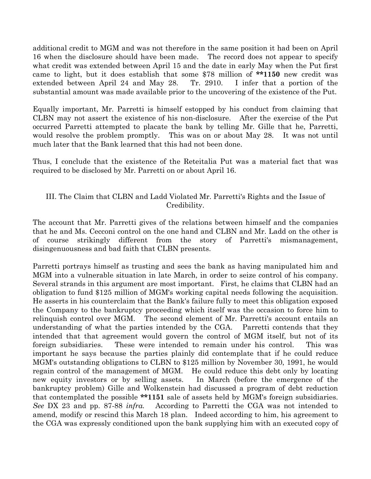additional credit to MGM and was not therefore in the same position it had been on April 16 when the disclosure should have been made. The record does not appear to specify what credit was extended between April 15 and the date in early May when the Put first came to light, but it does establish that some \$78 million of \*\*1150 new credit was extended between April 24 and May 28. Tr. 2910. I infer that a portion of the substantial amount was made available prior to the uncovering of the existence of the Put.

Equally important, Mr. Parretti is himself estopped by his conduct from claiming that CLBN may not assert the existence of his non-disclosure. After the exercise of the Put occurred Parretti attempted to placate the bank by telling Mr. Gille that he, Parretti, would resolve the problem promptly. This was on or about May 28. It was not until much later that the Bank learned that this had not been done.

Thus, I conclude that the existence of the Reteitalia Put was a material fact that was required to be disclosed by Mr. Parretti on or about April 16.

# III. The Claim that CLBN and Ladd Violated Mr. Parretti's Rights and the Issue of Credibility.

The account that Mr. Parretti gives of the relations between himself and the companies that he and Ms. Cecconi control on the one hand and CLBN and Mr. Ladd on the other is of course strikingly different from the story of Parretti's mismanagement, disingenuousness and bad faith that CLBN presents.

Parretti portrays himself as trusting and sees the bank as having manipulated him and MGM into a vulnerable situation in late March, in order to seize control of his company. Several strands in this argument are most important. First, he claims that CLBN had an obligation to fund \$125 million of MGM's working capital needs following the acquisition. He asserts in his counterclaim that the Bank's failure fully to meet this obligation exposed the Company to the bankruptcy proceeding which itself was the occasion to force him to relinquish control over MGM. The second element of Mr. Parretti's account entails an understanding of what the parties intended by the CGA. Parretti contends that they intended that that agreement would govern the control of MGM itself, but not of its foreign subsidiaries. These were intended to remain under his control. This was important he says because the parties plainly did contemplate that if he could reduce MGM's outstanding obligations to CLBN to \$125 million by November 30, 1991, he would regain control of the management of MGM. He could reduce this debt only by locating new equity investors or by selling assets. In March (before the emergence of the bankruptcy problem) Gille and Wolkenstein had discussed a program of debt reduction that contemplated the possible \*\*1151 sale of assets held by MGM's foreign subsidiaries. See DX 23 and pp. 87-88 *infra*. According to Parretti the CGA was not intended to amend, modify or rescind this March 18 plan. Indeed according to him, his agreement to the CGA was expressly conditioned upon the bank supplying him with an executed copy of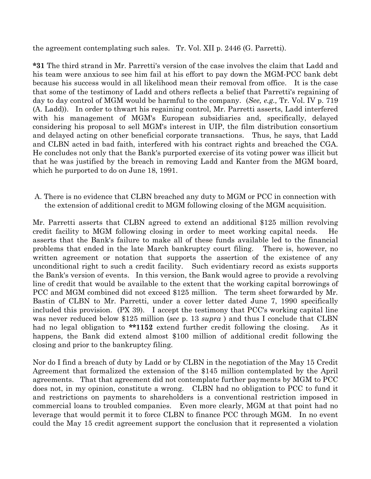the agreement contemplating such sales. Tr. Vol. XII p. 2446 (G. Parretti).

\*31 The third strand in Mr. Parretti's version of the case involves the claim that Ladd and his team were anxious to see him fail at his effort to pay down the MGM-PCC bank debt because his success would in all likelihood mean their removal from office. It is the case that some of the testimony of Ladd and others reflects a belief that Parretti's regaining of day to day control of MGM would be harmful to the company. (See, e.g., Tr. Vol. IV p. 719) (A. Ladd)). In order to thwart his regaining control, Mr. Parretti asserts, Ladd interfered with his management of MGM's European subsidiaries and, specifically, delayed considering his proposal to sell MGM's interest in UIP, the film distribution consortium and delayed acting on other beneficial corporate transactions. Thus, he says, that Ladd and CLBN acted in bad faith, interfered with his contract rights and breached the CGA. He concludes not only that the Bank's purported exercise of its voting power was illicit but that he was justified by the breach in removing Ladd and Kanter from the MGM board, which he purported to do on June 18, 1991.

A. There is no evidence that CLBN breached any duty to MGM or PCC in connection with the extension of additional credit to MGM following closing of the MGM acquisition.

Mr. Parretti asserts that CLBN agreed to extend an additional \$125 million revolving credit facility to MGM following closing in order to meet working capital needs. He asserts that the Bank's failure to make all of these funds available led to the financial problems that ended in the late March bankruptcy court filing. There is, however, no written agreement or notation that supports the assertion of the existence of any unconditional right to such a credit facility. Such evidentiary record as exists supports the Bank's version of events. In this version, the Bank would agree to provide a revolving line of credit that would be available to the extent that the working capital borrowings of PCC and MGM combined did not exceed \$125 million. The term sheet forwarded by Mr. Bastin of CLBN to Mr. Parretti, under a cover letter dated June 7, 1990 specifically included this provision. (PX 39). I accept the testimony that PCC's working capital line was never reduced below \$125 million (see p. 13 supra) and thus I conclude that CLBN had no legal obligation to \*\*1152 extend further credit following the closing. As it happens, the Bank did extend almost \$100 million of additional credit following the closing and prior to the bankruptcy filing.

Nor do I find a breach of duty by Ladd or by CLBN in the negotiation of the May 15 Credit Agreement that formalized the extension of the \$145 million contemplated by the April agreements. That that agreement did not contemplate further payments by MGM to PCC does not, in my opinion, constitute a wrong. CLBN had no obligation to PCC to fund it and restrictions on payments to shareholders is a conventional restriction imposed in commercial loans to troubled companies. Even more clearly, MGM at that point had no leverage that would permit it to force CLBN to finance PCC through MGM. In no event could the May 15 credit agreement support the conclusion that it represented a violation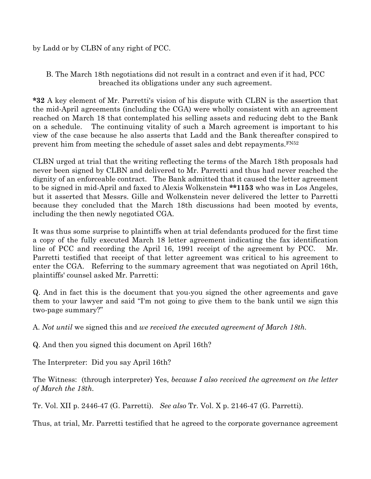# by Ladd or by CLBN of any right of PCC.

B. The March 18th negotiations did not result in a contract and even if it had, PCC breached its obligations under any such agreement.

\*32 A key element of Mr. Parretti's vision of his dispute with CLBN is the assertion that the mid-April agreements (including the CGA) were wholly consistent with an agreement reached on March 18 that contemplated his selling assets and reducing debt to the Bank on a schedule. The continuing vitality of such a March agreement is important to his view of the case because he also asserts that Ladd and the Bank thereafter conspired to prevent him from meeting the schedule of asset sales and debt repayments.FN52

CLBN urged at trial that the writing reflecting the terms of the March 18th proposals had never been signed by CLBN and delivered to Mr. Parretti and thus had never reached the dignity of an enforceable contract. The Bank admitted that it caused the letter agreement to be signed in mid-April and faxed to Alexis Wolkenstein \*\*1153 who was in Los Angeles, but it asserted that Messrs. Gille and Wolkenstein never delivered the letter to Parretti because they concluded that the March 18th discussions had been mooted by events, including the then newly negotiated CGA.

It was thus some surprise to plaintiffs when at trial defendants produced for the first time a copy of the fully executed March 18 letter agreement indicating the fax identification line of PCC and recording the April 16, 1991 receipt of the agreement by PCC. Mr. Parretti testified that receipt of that letter agreement was critical to his agreement to enter the CGA. Referring to the summary agreement that was negotiated on April 16th, plaintiffs' counsel asked Mr. Parretti:

Q. And in fact this is the document that you-you signed the other agreements and gave them to your lawyer and said "I'm not going to give them to the bank until we sign this two-page summary?"

A. Not until we signed this and we received the executed agreement of March 18th.

Q. And then you signed this document on April 16th?

The Interpreter: Did you say April 16th?

The Witness: (through interpreter) Yes, because I also received the agreement on the letter of March the 18th.

Tr. Vol. XII p. 2446-47 (G. Parretti). See also Tr. Vol. X p. 2146-47 (G. Parretti).

Thus, at trial, Mr. Parretti testified that he agreed to the corporate governance agreement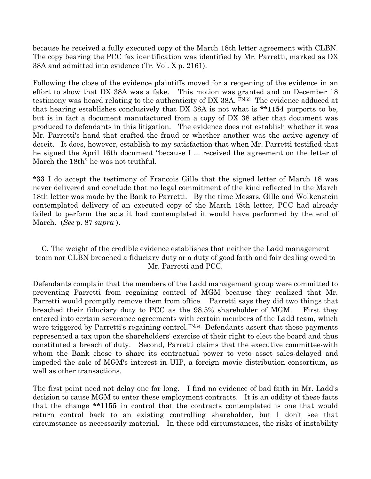because he received a fully executed copy of the March 18th letter agreement with CLBN. The copy bearing the PCC fax identification was identified by Mr. Parretti, marked as DX 38A and admitted into evidence (Tr. Vol. X p. 2161).

Following the close of the evidence plaintiffs moved for a reopening of the evidence in an effort to show that DX 38A was a fake. This motion was granted and on December 18 testimony was heard relating to the authenticity of DX 38A. FN53 The evidence adduced at that hearing establishes conclusively that DX 38A is not what is \*\*1154 purports to be, but is in fact a document manufactured from a copy of DX 38 after that document was produced to defendants in this litigation. The evidence does not establish whether it was Mr. Parretti's hand that crafted the fraud or whether another was the active agency of deceit. It does, however, establish to my satisfaction that when Mr. Parretti testified that he signed the April 16th document "because I ... received the agreement on the letter of March the 18th" he was not truthful.

\*33 I do accept the testimony of Francois Gille that the signed letter of March 18 was never delivered and conclude that no legal commitment of the kind reflected in the March 18th letter was made by the Bank to Parretti. By the time Messrs. Gille and Wolkenstein contemplated delivery of an executed copy of the March 18th letter, PCC had already failed to perform the acts it had contemplated it would have performed by the end of March. (See p. 87 supra).

# C. The weight of the credible evidence establishes that neither the Ladd management team nor CLBN breached a fiduciary duty or a duty of good faith and fair dealing owed to Mr. Parretti and PCC.

Defendants complain that the members of the Ladd management group were committed to preventing Parretti from regaining control of MGM because they realized that Mr. Parretti would promptly remove them from office. Parretti says they did two things that breached their fiduciary duty to PCC as the 98.5% shareholder of MGM. First they entered into certain severance agreements with certain members of the Ladd team, which were triggered by Parretti's regaining control.<sup>FN54</sup> Defendants assert that these payments represented a tax upon the shareholders' exercise of their right to elect the board and thus constituted a breach of duty. Second, Parretti claims that the executive committee-with whom the Bank chose to share its contractual power to veto asset sales-delayed and impeded the sale of MGM's interest in UIP, a foreign movie distribution consortium, as well as other transactions.

The first point need not delay one for long. I find no evidence of bad faith in Mr. Ladd's decision to cause MGM to enter these employment contracts. It is an oddity of these facts that the change \*\*1155 in control that the contracts contemplated is one that would return control back to an existing controlling shareholder, but I don't see that circumstance as necessarily material. In these odd circumstances, the risks of instability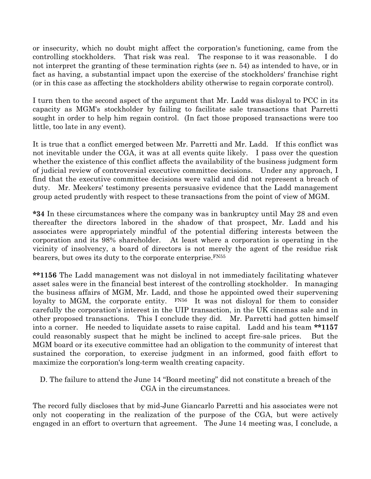or insecurity, which no doubt might affect the corporation's functioning, came from the controlling stockholders. That risk was real. The response to it was reasonable. I do not interpret the granting of these termination rights (see n. 54) as intended to have, or in fact as having, a substantial impact upon the exercise of the stockholders' franchise right (or in this case as affecting the stockholders ability otherwise to regain corporate control).

I turn then to the second aspect of the argument that Mr. Ladd was disloyal to PCC in its capacity as MGM's stockholder by failing to facilitate sale transactions that Parretti sought in order to help him regain control. (In fact those proposed transactions were too little, too late in any event).

It is true that a conflict emerged between Mr. Parretti and Mr. Ladd. If this conflict was not inevitable under the CGA, it was at all events quite likely. I pass over the question whether the existence of this conflict affects the availability of the business judgment form of judicial review of controversial executive committee decisions. Under any approach, I find that the executive committee decisions were valid and did not represent a breach of duty. Mr. Meekers' testimony presents persuasive evidence that the Ladd management group acted prudently with respect to these transactions from the point of view of MGM.

\*34 In these circumstances where the company was in bankruptcy until May 28 and even thereafter the directors labored in the shadow of that prospect, Mr. Ladd and his associates were appropriately mindful of the potential differing interests between the corporation and its 98% shareholder. At least where a corporation is operating in the vicinity of insolvency, a board of directors is not merely the agent of the residue risk bearers, but owes its duty to the corporate enterprise.<sup>FN55</sup>

\*\*1156 The Ladd management was not disloyal in not immediately facilitating whatever asset sales were in the financial best interest of the controlling stockholder. In managing the business affairs of MGM, Mr. Ladd, and those he appointed owed their supervening loyalty to MGM, the corporate entity. FN56 It was not disloyal for them to consider carefully the corporation's interest in the UIP transaction, in the UK cinemas sale and in other proposed transactions. This I conclude they did. Mr. Parretti had gotten himself into a corner. He needed to liquidate assets to raise capital. Ladd and his team \*\*1157 could reasonably suspect that he might be inclined to accept fire-sale prices. But the MGM board or its executive committee had an obligation to the community of interest that sustained the corporation, to exercise judgment in an informed, good faith effort to maximize the corporation's long-term wealth creating capacity.

D. The failure to attend the June 14 "Board meeting" did not constitute a breach of the CGA in the circumstances.

The record fully discloses that by mid-June Giancarlo Parretti and his associates were not only not cooperating in the realization of the purpose of the CGA, but were actively engaged in an effort to overturn that agreement. The June 14 meeting was, I conclude, a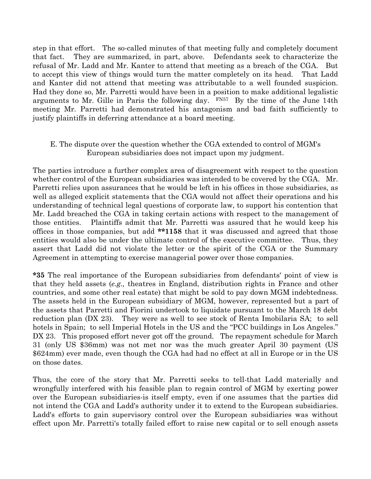step in that effort. The so-called minutes of that meeting fully and completely document that fact. They are summarized, in part, above. Defendants seek to characterize the refusal of Mr. Ladd and Mr. Kanter to attend that meeting as a breach of the CGA. But to accept this view of things would turn the matter completely on its head. That Ladd and Kanter did not attend that meeting was attributable to a well founded suspicion. Had they done so, Mr. Parretti would have been in a position to make additional legalistic arguments to Mr. Gille in Paris the following day.  $FN57$  By the time of the June 14th meeting Mr. Parretti had demonstrated his antagonism and bad faith sufficiently to justify plaintiffs in deferring attendance at a board meeting.

# E. The dispute over the question whether the CGA extended to control of MGM's European subsidiaries does not impact upon my judgment.

The parties introduce a further complex area of disagreement with respect to the question whether control of the European subsidiaries was intended to be covered by the CGA. Mr. Parretti relies upon assurances that he would be left in his offices in those subsidiaries, as well as alleged explicit statements that the CGA would not affect their operations and his understanding of technical legal questions of corporate law, to support his contention that Mr. Ladd breached the CGA in taking certain actions with respect to the management of those entities. Plaintiffs admit that Mr. Parretti was assured that he would keep his offices in those companies, but add \*\*1158 that it was discussed and agreed that those entities would also be under the ultimate control of the executive committee. Thus, they assert that Ladd did not violate the letter or the spirit of the CGA or the Summary Agreement in attempting to exercise managerial power over those companies.

\*35 The real importance of the European subsidiaries from defendants' point of view is that they held assets (e.g., theatres in England, distribution rights in France and other countries, and some other real estate) that might be sold to pay down MGM indebtedness. The assets held in the European subsidiary of MGM, however, represented but a part of the assets that Parretti and Fiorini undertook to liquidate pursuant to the March 18 debt reduction plan (DX 23). They were as well to see stock of Renta Imobilaria SA; to sell hotels in Spain; to sell Imperial Hotels in the US and the "PCC buildings in Los Angeles." DX 23. This proposed effort never got off the ground. The repayment schedule for March 31 (only US \$36mm) was not met nor was the much greater April 30 payment (US \$624mm) ever made, even though the CGA had had no effect at all in Europe or in the US on those dates.

Thus, the core of the story that Mr. Parretti seeks to tell-that Ladd materially and wrongfully interfered with his feasible plan to regain control of MGM by exerting power over the European subsidiaries-is itself empty, even if one assumes that the parties did not intend the CGA and Ladd's authority under it to extend to the European subsidiaries. Ladd's efforts to gain supervisory control over the European subsidiaries was without effect upon Mr. Parretti's totally failed effort to raise new capital or to sell enough assets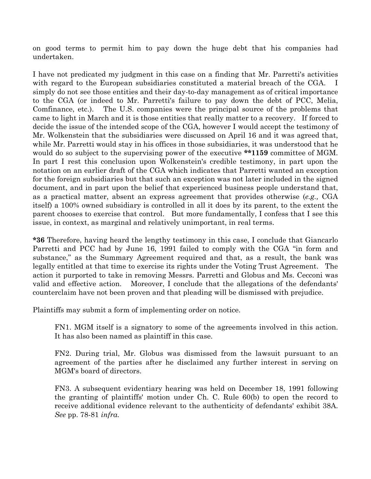on good terms to permit him to pay down the huge debt that his companies had undertaken.

I have not predicated my judgment in this case on a finding that Mr. Parretti's activities with regard to the European subsidiaries constituted a material breach of the CGA. I simply do not see those entities and their day-to-day management as of critical importance to the CGA (or indeed to Mr. Parretti's failure to pay down the debt of PCC, Melia, Comfinance, etc.). The U.S. companies were the principal source of the problems that came to light in March and it is those entities that really matter to a recovery. If forced to decide the issue of the intended scope of the CGA, however I would accept the testimony of Mr. Wolkenstein that the subsidiaries were discussed on April 16 and it was agreed that, while Mr. Parretti would stay in his offices in those subsidiaries, it was understood that he would do so subject to the supervising power of the executive \*\*1159 committee of MGM. In part I rest this conclusion upon Wolkenstein's credible testimony, in part upon the notation on an earlier draft of the CGA which indicates that Parretti wanted an exception for the foreign subsidiaries but that such an exception was not later included in the signed document, and in part upon the belief that experienced business people understand that, as a practical matter, absent an express agreement that provides otherwise (e.g., CGA itself) a 100% owned subsidiary is controlled in all it does by its parent, to the extent the parent chooses to exercise that control. But more fundamentally, I confess that I see this issue, in context, as marginal and relatively unimportant, in real terms.

\*36 Therefore, having heard the lengthy testimony in this case, I conclude that Giancarlo Parretti and PCC had by June 16, 1991 failed to comply with the CGA "in form and substance," as the Summary Agreement required and that, as a result, the bank was legally entitled at that time to exercise its rights under the Voting Trust Agreement. The action it purported to take in removing Messrs. Parretti and Globus and Ms. Cecconi was valid and effective action. Moreover, I conclude that the allegations of the defendants' counterclaim have not been proven and that pleading will be dismissed with prejudice.

Plaintiffs may submit a form of implementing order on notice.

FN1. MGM itself is a signatory to some of the agreements involved in this action. It has also been named as plaintiff in this case.

FN2. During trial, Mr. Globus was dismissed from the lawsuit pursuant to an agreement of the parties after he disclaimed any further interest in serving on MGM's board of directors.

FN3. A subsequent evidentiary hearing was held on December 18, 1991 following the granting of plaintiffs' motion under Ch. C. Rule 60(b) to open the record to receive additional evidence relevant to the authenticity of defendants' exhibit 38A. See pp. 78-81 infra.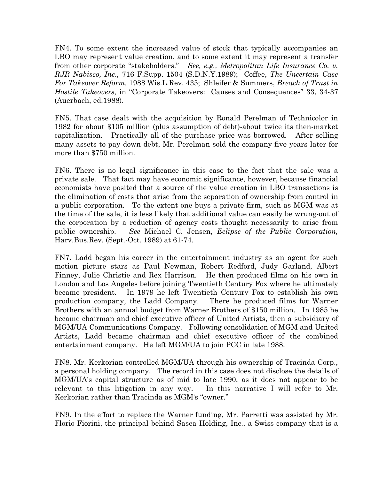FN4. To some extent the increased value of stock that typically accompanies an LBO may represent value creation, and to some extent it may represent a transfer from other corporate "stakeholders." See, e.g., Metropolitan Life Insurance Co. v. RJR Nabisco, Inc., 716 F.Supp. 1504 (S.D.N.Y.1989); Coffee, The Uncertain Case For Takeover Reform, 1988 Wis.L.Rev. 435; Shleifer & Summers, Breach of Trust in Hostile Takeovers, in "Corporate Takeovers: Causes and Consequences" 33, 34-37 (Auerbach, ed.1988).

FN5. That case dealt with the acquisition by Ronald Perelman of Technicolor in 1982 for about \$105 million (plus assumption of debt)-about twice its then-market capitalization. Practically all of the purchase price was borrowed. After selling many assets to pay down debt, Mr. Perelman sold the company five years later for more than \$750 million.

FN6. There is no legal significance in this case to the fact that the sale was a private sale. That fact may have economic significance, however, because financial economists have posited that a source of the value creation in LBO transactions is the elimination of costs that arise from the separation of ownership from control in a public corporation. To the extent one buys a private firm, such as MGM was at the time of the sale, it is less likely that additional value can easily be wrung-out of the corporation by a reduction of agency costs thought necessarily to arise from public ownership. See Michael C. Jensen, Eclipse of the Public Corporation, Harv.Bus.Rev. (Sept.-Oct. 1989) at 61-74.

FN7. Ladd began his career in the entertainment industry as an agent for such motion picture stars as Paul Newman, Robert Redford, Judy Garland, Albert Finney, Julie Christie and Rex Harrison. He then produced films on his own in London and Los Angeles before joining Twentieth Century Fox where he ultimately became president. In 1979 he left Twentieth Century Fox to establish his own production company, the Ladd Company. There he produced films for Warner Brothers with an annual budget from Warner Brothers of \$150 million. In 1985 he became chairman and chief executive officer of United Artists, then a subsidiary of MGM/UA Communications Company. Following consolidation of MGM and United Artists, Ladd became chairman and chief executive officer of the combined entertainment company. He left MGM/UA to join PCC in late 1988.

FN8. Mr. Kerkorian controlled MGM/UA through his ownership of Tracinda Corp., a personal holding company. The record in this case does not disclose the details of MGM/UA's capital structure as of mid to late 1990, as it does not appear to be relevant to this litigation in any way. In this narrative I will refer to Mr. Kerkorian rather than Tracinda as MGM's "owner."

FN9. In the effort to replace the Warner funding, Mr. Parretti was assisted by Mr. Florio Fiorini, the principal behind Sasea Holding, Inc., a Swiss company that is a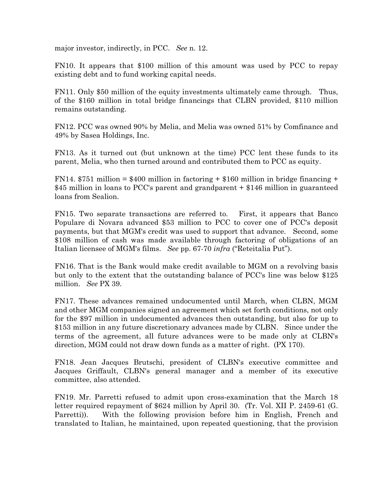major investor, indirectly, in PCC. See n. 12.

FN10. It appears that \$100 million of this amount was used by PCC to repay existing debt and to fund working capital needs.

FN11. Only \$50 million of the equity investments ultimately came through. Thus, of the \$160 million in total bridge financings that CLBN provided, \$110 million remains outstanding.

FN12. PCC was owned 90% by Melia, and Melia was owned 51% by Comfinance and 49% by Sasea Holdings, Inc.

FN13. As it turned out (but unknown at the time) PCC lent these funds to its parent, Melia, who then turned around and contributed them to PCC as equity.

FN14.  $$751$  million = \$400 million in factoring + \$160 million in bridge financing + \$45 million in loans to PCC's parent and grandparent + \$146 million in guaranteed loans from Sealion.

FN15. Two separate transactions are referred to. First, it appears that Banco Populare di Novara advanced \$53 million to PCC to cover one of PCC's deposit payments, but that MGM's credit was used to support that advance. Second, some \$108 million of cash was made available through factoring of obligations of an Italian licensee of MGM's films. See pp. 67-70 infra ("Reteitalia Put").

FN16. That is the Bank would make credit available to MGM on a revolving basis but only to the extent that the outstanding balance of PCC's line was below \$125 million. See PX 39.

FN17. These advances remained undocumented until March, when CLBN, MGM and other MGM companies signed an agreement which set forth conditions, not only for the \$97 million in undocumented advances then outstanding, but also for up to \$153 million in any future discretionary advances made by CLBN. Since under the terms of the agreement, all future advances were to be made only at CLBN's direction, MGM could not draw down funds as a matter of right. (PX 170).

FN18. Jean Jacques Brutschi, president of CLBN's executive committee and Jacques Griffault, CLBN's general manager and a member of its executive committee, also attended.

FN19. Mr. Parretti refused to admit upon cross-examination that the March 18 letter required repayment of \$624 million by April 30. (Tr. Vol. XII P. 2459-61 (G. Parretti)). With the following provision before him in English, French and translated to Italian, he maintained, upon repeated questioning, that the provision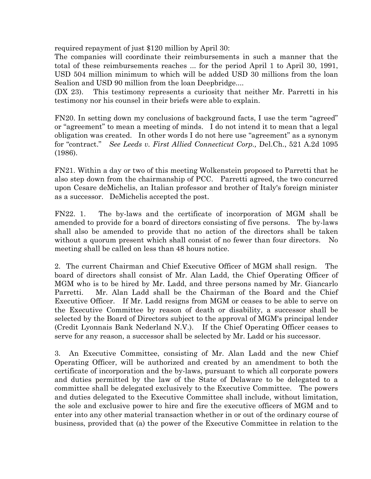required repayment of just \$120 million by April 30:

The companies will coordinate their reimbursements in such a manner that the total of these reimbursements reaches ... for the period April 1 to April 30, 1991, USD 504 million minimum to which will be added USD 30 millions from the loan Sealion and USD 90 million from the loan Deepbridge....

(DX 23). This testimony represents a curiosity that neither Mr. Parretti in his testimony nor his counsel in their briefs were able to explain.

FN20. In setting down my conclusions of background facts, I use the term "agreed" or "agreement" to mean a meeting of minds. I do not intend it to mean that a legal obligation was created. In other words I do not here use "agreement" as a synonym for "contract." See Leeds v. First Allied Connecticut Corp., Del.Ch., 521 A.2d 1095 (1986).

FN21. Within a day or two of this meeting Wolkenstein proposed to Parretti that he also step down from the chairmanship of PCC. Parretti agreed, the two concurred upon Cesare deMichelis, an Italian professor and brother of Italy's foreign minister as a successor. DeMichelis accepted the post.

FN22. 1. The by-laws and the certificate of incorporation of MGM shall be amended to provide for a board of directors consisting of five persons. The by-laws shall also be amended to provide that no action of the directors shall be taken without a quorum present which shall consist of no fewer than four directors. No meeting shall be called on less than 48 hours notice.

2. The current Chairman and Chief Executive Officer of MGM shall resign. The board of directors shall consist of Mr. Alan Ladd, the Chief Operating Officer of MGM who is to be hired by Mr. Ladd, and three persons named by Mr. Giancarlo Parretti. Mr. Alan Ladd shall be the Chairman of the Board and the Chief Executive Officer. If Mr. Ladd resigns from MGM or ceases to be able to serve on the Executive Committee by reason of death or disability, a successor shall be selected by the Board of Directors subject to the approval of MGM's principal lender (Credit Lyonnais Bank Nederland N.V.). If the Chief Operating Officer ceases to serve for any reason, a successor shall be selected by Mr. Ladd or his successor.

3. An Executive Committee, consisting of Mr. Alan Ladd and the new Chief Operating Officer, will be authorized and created by an amendment to both the certificate of incorporation and the by-laws, pursuant to which all corporate powers and duties permitted by the law of the State of Delaware to be delegated to a committee shall be delegated exclusively to the Executive Committee. The powers and duties delegated to the Executive Committee shall include, without limitation, the sole and exclusive power to hire and fire the executive officers of MGM and to enter into any other material transaction whether in or out of the ordinary course of business, provided that (a) the power of the Executive Committee in relation to the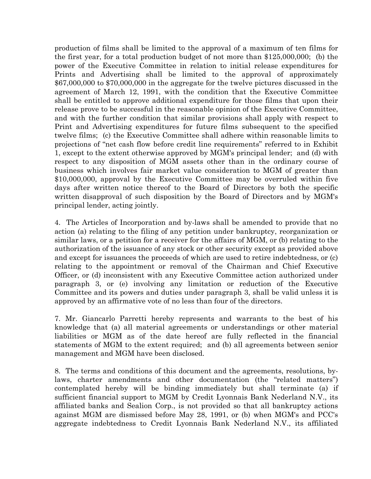production of films shall be limited to the approval of a maximum of ten films for the first year, for a total production budget of not more than \$125,000,000; (b) the power of the Executive Committee in relation to initial release expenditures for Prints and Advertising shall be limited to the approval of approximately \$67,000,000 to \$70,000,000 in the aggregate for the twelve pictures discussed in the agreement of March 12, 1991, with the condition that the Executive Committee shall be entitled to approve additional expenditure for those films that upon their release prove to be successful in the reasonable opinion of the Executive Committee, and with the further condition that similar provisions shall apply with respect to Print and Advertising expenditures for future films subsequent to the specified twelve films; (c) the Executive Committee shall adhere within reasonable limits to projections of "net cash flow before credit line requirements" referred to in Exhibit 1, except to the extent otherwise approved by MGM's principal lender; and (d) with respect to any disposition of MGM assets other than in the ordinary course of business which involves fair market value consideration to MGM of greater than \$10,000,000, approval by the Executive Committee may be overruled within five days after written notice thereof to the Board of Directors by both the specific written disapproval of such disposition by the Board of Directors and by MGM's principal lender, acting jointly.

4. The Articles of Incorporation and by-laws shall be amended to provide that no action (a) relating to the filing of any petition under bankruptcy, reorganization or similar laws, or a petition for a receiver for the affairs of MGM, or (b) relating to the authorization of the issuance of any stock or other security except as provided above and except for issuances the proceeds of which are used to retire indebtedness, or (c) relating to the appointment or removal of the Chairman and Chief Executive Officer, or (d) inconsistent with any Executive Committee action authorized under paragraph 3, or (e) involving any limitation or reduction of the Executive Committee and its powers and duties under paragraph 3, shall be valid unless it is approved by an affirmative vote of no less than four of the directors.

7. Mr. Giancarlo Parretti hereby represents and warrants to the best of his knowledge that (a) all material agreements or understandings or other material liabilities or MGM as of the date hereof are fully reflected in the financial statements of MGM to the extent required; and (b) all agreements between senior management and MGM have been disclosed.

8. The terms and conditions of this document and the agreements, resolutions, bylaws, charter amendments and other documentation (the "related matters") contemplated hereby will be binding immediately but shall terminate (a) if sufficient financial support to MGM by Credit Lyonnais Bank Nederland N.V., its affiliated banks and Sealion Corp., is not provided so that all bankruptcy actions against MGM are dismissed before May 28, 1991, or (b) when MGM's and PCC's aggregate indebtedness to Credit Lyonnais Bank Nederland N.V., its affiliated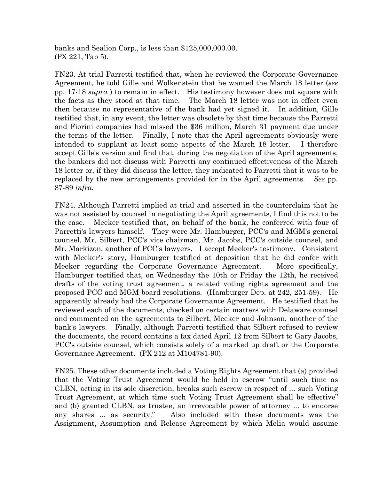banks and Sealion Corp., is less than \$125,000,000.00. (PX 221, Tab 5).

FN23. At trial Parretti testified that, when he reviewed the Corporate Governance Agreement, he told Gille and Wolkenstein that he wanted the March 18 letter (see pp. 17-18 supra ) to remain in effect. His testimony however does not square with the facts as they stood at that time. The March 18 letter was not in effect even then because no representative of the bank had yet signed it. In addition, Gille testified that, in any event, the letter was obsolete by that time because the Parretti and Fiorini companies had missed the \$36 million, March 31 payment due under the terms of the letter. Finally, I note that the April agreements obviously were intended to supplant at least some aspects of the March 18 letter. I therefore accept Gille's version and find that, during the negotiation of the April agreements, the bankers did not discuss with Parretti any continued effectiveness of the March 18 letter or, if they did discuss the letter, they indicated to Parretti that it was to be replaced by the new arrangements provided for in the April agreements. See pp. 87-89 infra.

FN24. Although Parretti implied at trial and asserted in the counterclaim that he was not assisted by counsel in negotiating the April agreements, I find this not to be the case. Meeker testified that, on behalf of the bank, he conferred with four of Parretti's lawyers himself. They were Mr. Hamburger, PCC's and MGM's general counsel, Mr. Silbert, PCC's vice chairman, Mr. Jacobs, PCC's outside counsel, and Mr. Markizon, another of PCC's lawyers. I accept Meeker's testimony. Consistent with Meeker's story, Hamburger testified at deposition that he did confer with Meeker regarding the Corporate Governance Agreement. More specifically, Hamburger testified that, on Wednesday the 10th or Friday the 12th, he received drafts of the voting trust agreement, a related voting rights agreement and the proposed PCC and MGM board resolutions. (Hamburger Dep. at 242, 251-59). He apparently already had the Corporate Governance Agreement. He testified that he reviewed each of the documents, checked on certain matters with Delaware counsel and commented on the agreements to Silbert, Meeker and Johnson, another of the bank's lawyers. Finally, although Parretti testified that Silbert refused to review the documents, the record contains a fax dated April 12 from Silbert to Gary Jacobs, PCC's outside counsel, which consists solely of a marked up draft or the Corporate Governance Agreement. (PX 212 at M104781-90).

FN25. These other documents included a Voting Rights Agreement that (a) provided that the Voting Trust Agreement would be held in escrow "until such time as CLBN, acting in its sole discretion, breaks such escrow in respect of ... such Voting Trust Agreement, at which time such Voting Trust Agreement shall be effective" and (b) granted CLBN, as trustee, an irrevocable power of attorney ... to endorse any shares ... as security." Also included with these documents was the Assignment, Assumption and Release Agreement by which Melia would assume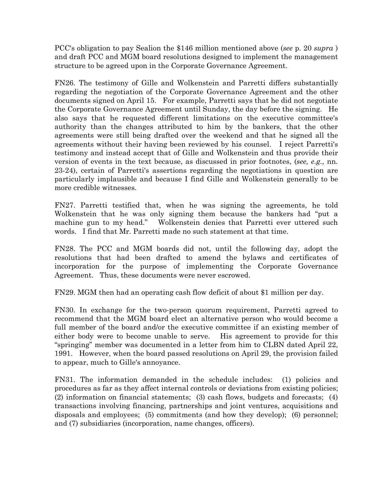PCC's obligation to pay Sealion the \$146 million mentioned above (see p. 20 supra ) and draft PCC and MGM board resolutions designed to implement the management structure to be agreed upon in the Corporate Governance Agreement.

FN26. The testimony of Gille and Wolkenstein and Parretti differs substantially regarding the negotiation of the Corporate Governance Agreement and the other documents signed on April 15. For example, Parretti says that he did not negotiate the Corporate Governance Agreement until Sunday, the day before the signing. He also says that he requested different limitations on the executive committee's authority than the changes attributed to him by the bankers, that the other agreements were still being drafted over the weekend and that he signed all the agreements without their having been reviewed by his counsel. I reject Parretti's testimony and instead accept that of Gille and Wolkenstein and thus provide their version of events in the text because, as discussed in prior footnotes, (see, e.g., nn. 23-24), certain of Parretti's assertions regarding the negotiations in question are particularly implausible and because I find Gille and Wolkenstein generally to be more credible witnesses.

FN27. Parretti testified that, when he was signing the agreements, he told Wolkenstein that he was only signing them because the bankers had "put a machine gun to my head." Wolkenstein denies that Parretti ever uttered such words. I find that Mr. Parretti made no such statement at that time.

FN28. The PCC and MGM boards did not, until the following day, adopt the resolutions that had been drafted to amend the bylaws and certificates of incorporation for the purpose of implementing the Corporate Governance Agreement. Thus, these documents were never escrowed.

FN29. MGM then had an operating cash flow deficit of about \$1 million per day.

FN30. In exchange for the two-person quorum requirement, Parretti agreed to recommend that the MGM board elect an alternative person who would become a full member of the board and/or the executive committee if an existing member of either body were to become unable to serve. His agreement to provide for this "springing" member was documented in a letter from him to CLBN dated April 22, 1991. However, when the board passed resolutions on April 29, the provision failed to appear, much to Gille's annoyance.

FN31. The information demanded in the schedule includes: (1) policies and procedures as far as they affect internal controls or deviations from existing policies; (2) information on financial statements; (3) cash flows, budgets and forecasts; (4) transactions involving financing, partnerships and joint ventures, acquisitions and disposals and employees; (5) commitments (and how they develop); (6) personnel; and (7) subsidiaries (incorporation, name changes, officers).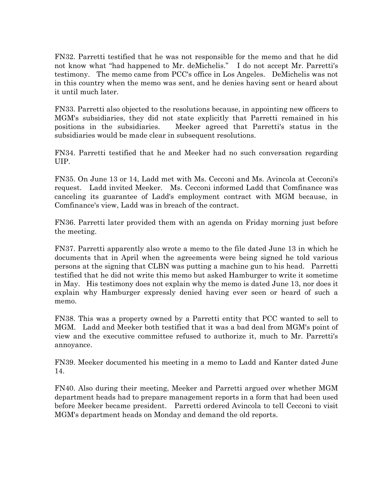FN32. Parretti testified that he was not responsible for the memo and that he did not know what "had happened to Mr. deMichelis." I do not accept Mr. Parretti's testimony. The memo came from PCC's office in Los Angeles. DeMichelis was not in this country when the memo was sent, and he denies having sent or heard about it until much later.

FN33. Parretti also objected to the resolutions because, in appointing new officers to MGM's subsidiaries, they did not state explicitly that Parretti remained in his positions in the subsidiaries. Meeker agreed that Parretti's status in the subsidiaries would be made clear in subsequent resolutions.

FN34. Parretti testified that he and Meeker had no such conversation regarding UIP.

FN35. On June 13 or 14, Ladd met with Ms. Cecconi and Ms. Avincola at Cecconi's request. Ladd invited Meeker. Ms. Cecconi informed Ladd that Comfinance was canceling its guarantee of Ladd's employment contract with MGM because, in Comfinance's view, Ladd was in breach of the contract.

FN36. Parretti later provided them with an agenda on Friday morning just before the meeting.

FN37. Parretti apparently also wrote a memo to the file dated June 13 in which he documents that in April when the agreements were being signed he told various persons at the signing that CLBN was putting a machine gun to his head. Parretti testified that he did not write this memo but asked Hamburger to write it sometime in May. His testimony does not explain why the memo is dated June 13, nor does it explain why Hamburger expressly denied having ever seen or heard of such a memo.

FN38. This was a property owned by a Parretti entity that PCC wanted to sell to MGM. Ladd and Meeker both testified that it was a bad deal from MGM's point of view and the executive committee refused to authorize it, much to Mr. Parretti's annoyance.

FN39. Meeker documented his meeting in a memo to Ladd and Kanter dated June 14.

FN40. Also during their meeting, Meeker and Parretti argued over whether MGM department heads had to prepare management reports in a form that had been used before Meeker became president. Parretti ordered Avincola to tell Cecconi to visit MGM's department heads on Monday and demand the old reports.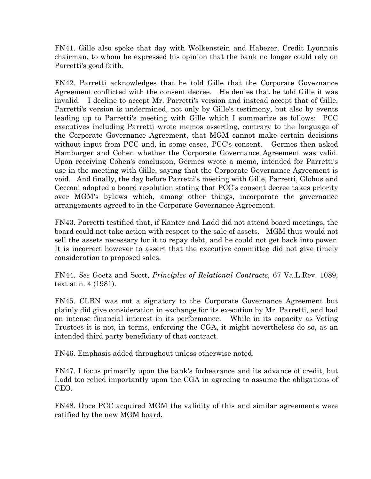FN41. Gille also spoke that day with Wolkenstein and Haberer, Credit Lyonnais chairman, to whom he expressed his opinion that the bank no longer could rely on Parretti's good faith.

FN42. Parretti acknowledges that he told Gille that the Corporate Governance Agreement conflicted with the consent decree. He denies that he told Gille it was invalid. I decline to accept Mr. Parretti's version and instead accept that of Gille. Parretti's version is undermined, not only by Gille's testimony, but also by events leading up to Parretti's meeting with Gille which I summarize as follows: PCC executives including Parretti wrote memos asserting, contrary to the language of the Corporate Governance Agreement, that MGM cannot make certain decisions without input from PCC and, in some cases, PCC's consent. Germes then asked Hamburger and Cohen whether the Corporate Governance Agreement was valid. Upon receiving Cohen's conclusion, Germes wrote a memo, intended for Parretti's use in the meeting with Gille, saying that the Corporate Governance Agreement is void. And finally, the day before Parretti's meeting with Gille, Parretti, Globus and Cecconi adopted a board resolution stating that PCC's consent decree takes priority over MGM's bylaws which, among other things, incorporate the governance arrangements agreed to in the Corporate Governance Agreement.

FN43. Parretti testified that, if Kanter and Ladd did not attend board meetings, the board could not take action with respect to the sale of assets. MGM thus would not sell the assets necessary for it to repay debt, and he could not get back into power. It is incorrect however to assert that the executive committee did not give timely consideration to proposed sales.

FN44. See Goetz and Scott, Principles of Relational Contracts, 67 Va.L.Rev. 1089, text at n. 4 (1981).

FN45. CLBN was not a signatory to the Corporate Governance Agreement but plainly did give consideration in exchange for its execution by Mr. Parretti, and had an intense financial interest in its performance. While in its capacity as Voting Trustees it is not, in terms, enforcing the CGA, it might nevertheless do so, as an intended third party beneficiary of that contract.

FN46. Emphasis added throughout unless otherwise noted.

FN47. I focus primarily upon the bank's forbearance and its advance of credit, but Ladd too relied importantly upon the CGA in agreeing to assume the obligations of CEO.

FN48. Once PCC acquired MGM the validity of this and similar agreements were ratified by the new MGM board.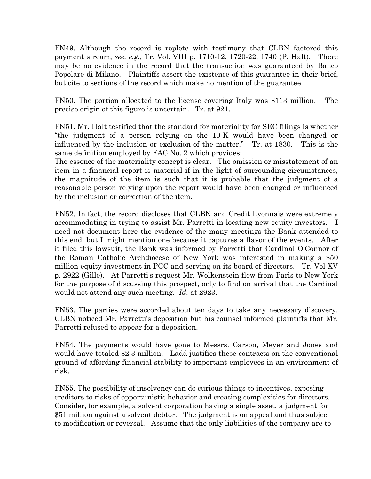FN49. Although the record is replete with testimony that CLBN factored this payment stream, see, e.g., Tr. Vol. VIII p. 1710-12, 1720-22, 1740 (P. Halt). There may be no evidence in the record that the transaction was guaranteed by Banco Popolare di Milano. Plaintiffs assert the existence of this guarantee in their brief, but cite to sections of the record which make no mention of the guarantee.

FN50. The portion allocated to the license covering Italy was \$113 million. The precise origin of this figure is uncertain. Tr. at 921.

FN51. Mr. Halt testified that the standard for materiality for SEC filings is whether "the judgment of a person relying on the 10-K would have been changed or influenced by the inclusion or exclusion of the matter." Tr. at 1830. This is the same definition employed by FAC No. 2 which provides:

The essence of the materiality concept is clear. The omission or misstatement of an item in a financial report is material if in the light of surrounding circumstances, the magnitude of the item is such that it is probable that the judgment of a reasonable person relying upon the report would have been changed or influenced by the inclusion or correction of the item.

FN52. In fact, the record discloses that CLBN and Credit Lyonnais were extremely accommodating in trying to assist Mr. Parretti in locating new equity investors. I need not document here the evidence of the many meetings the Bank attended to this end, but I might mention one because it captures a flavor of the events. After it filed this lawsuit, the Bank was informed by Parretti that Cardinal O'Connor of the Roman Catholic Archdiocese of New York was interested in making a \$50 million equity investment in PCC and serving on its board of directors. Tr. Vol XV p. 2922 (Gille). At Parretti's request Mr. Wolkenstein flew from Paris to New York for the purpose of discussing this prospect, only to find on arrival that the Cardinal would not attend any such meeting. Id. at 2923.

FN53. The parties were accorded about ten days to take any necessary discovery. CLBN noticed Mr. Parretti's deposition but his counsel informed plaintiffs that Mr. Parretti refused to appear for a deposition.

FN54. The payments would have gone to Messrs. Carson, Meyer and Jones and would have totaled \$2.3 million. Ladd justifies these contracts on the conventional ground of affording financial stability to important employees in an environment of risk.

FN55. The possibility of insolvency can do curious things to incentives, exposing creditors to risks of opportunistic behavior and creating complexities for directors. Consider, for example, a solvent corporation having a single asset, a judgment for \$51 million against a solvent debtor. The judgment is on appeal and thus subject to modification or reversal. Assume that the only liabilities of the company are to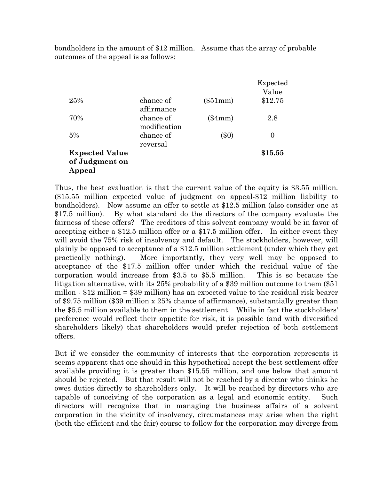bondholders in the amount of \$12 million. Assume that the array of probable outcomes of the appeal is as follows:

|                       |                           |            | Expected |
|-----------------------|---------------------------|------------|----------|
|                       |                           |            | Value    |
| 25%                   | chance of<br>affirmance   | $(\$51mm)$ | \$12.75  |
| 70%                   | chance of<br>modification | $(\$4mm)$  | 2.8      |
| 5%                    | chance of<br>reversal     | (\$0)      | $\theta$ |
| <b>Expected Value</b> |                           |            | \$15.55  |
| of Judgment on        |                           |            |          |
| Appeal                |                           |            |          |

Thus, the best evaluation is that the current value of the equity is \$3.55 million. (\$15.55 million expected value of judgment on appeal-\$12 million liability to bondholders). Now assume an offer to settle at \$12.5 million (also consider one at \$17.5 million). By what standard do the directors of the company evaluate the fairness of these offers? The creditors of this solvent company would be in favor of accepting either a \$12.5 million offer or a \$17.5 million offer. In either event they will avoid the 75% risk of insolvency and default. The stockholders, however, will plainly be opposed to acceptance of a \$12.5 million settlement (under which they get practically nothing). More importantly, they very well may be opposed to acceptance of the \$17.5 million offer under which the residual value of the corporation would increase from \$3.5 to \$5.5 million. This is so because the litigation alternative, with its 25% probability of a \$39 million outcome to them (\$51 millon - \$12 million = \$39 million) has an expected value to the residual risk bearer of \$9.75 million (\$39 million x 25% chance of affirmance), substantially greater than the \$5.5 million available to them in the settlement. While in fact the stockholders' preference would reflect their appetite for risk, it is possible (and with diversified shareholders likely) that shareholders would prefer rejection of both settlement offers.

But if we consider the community of interests that the corporation represents it seems apparent that one should in this hypothetical accept the best settlement offer available providing it is greater than \$15.55 million, and one below that amount should be rejected. But that result will not be reached by a director who thinks he owes duties directly to shareholders only. It will be reached by directors who are capable of conceiving of the corporation as a legal and economic entity. Such directors will recognize that in managing the business affairs of a solvent corporation in the vicinity of insolvency, circumstances may arise when the right (both the efficient and the fair) course to follow for the corporation may diverge from